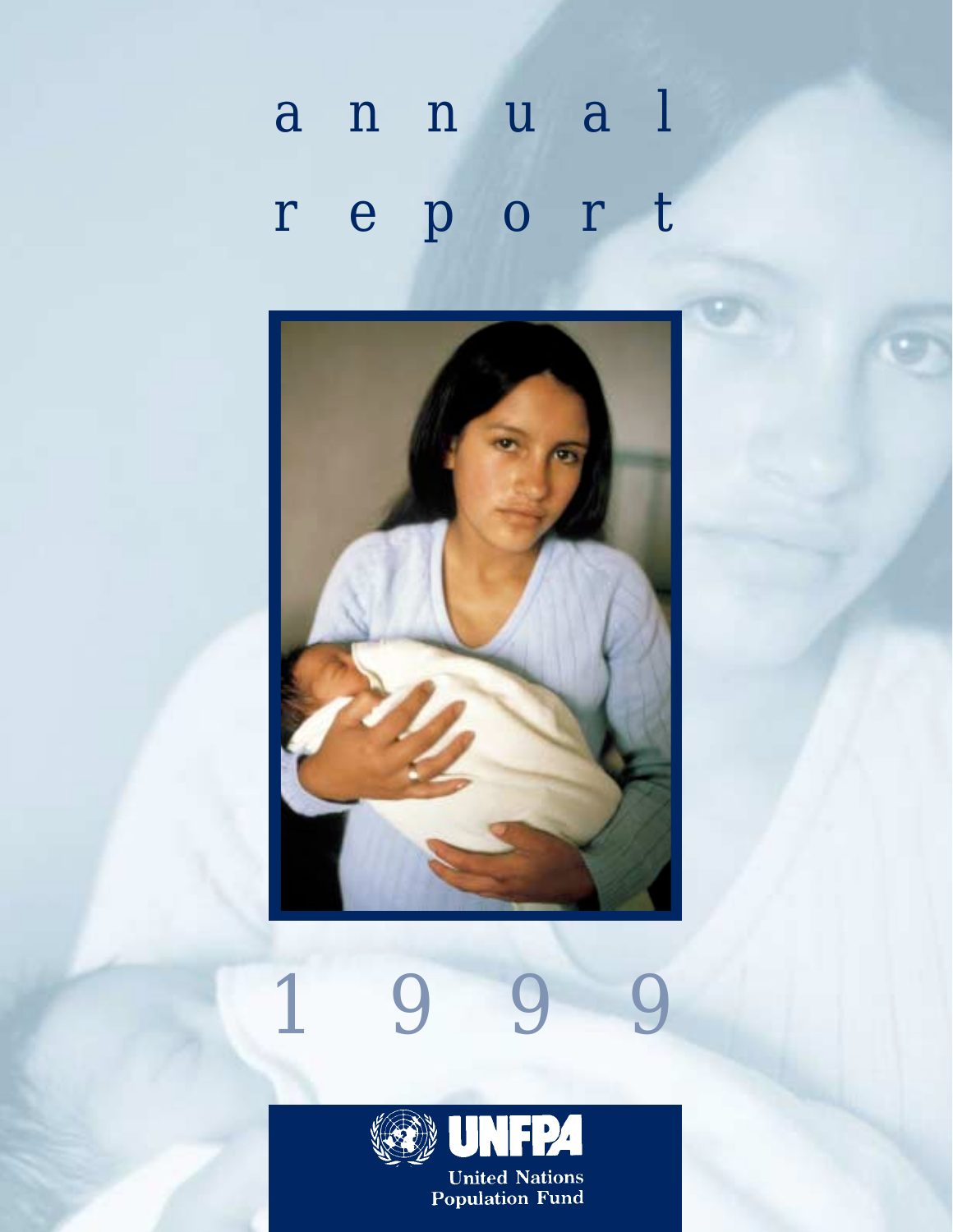# *annual report*





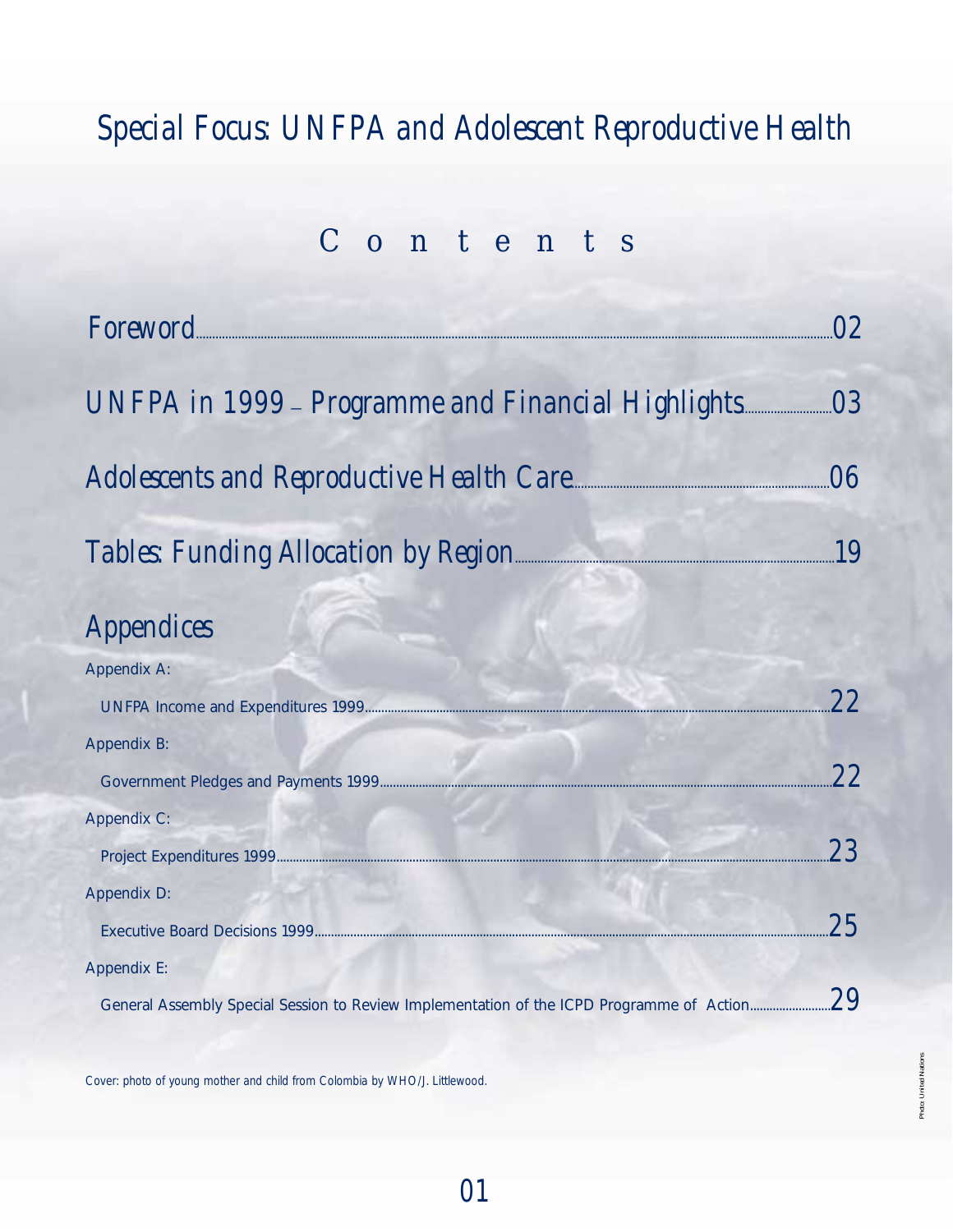# *Special Focus: UNFPA and Adolescent Reproductive Health*

# *Contents*

| <i>Foreword</i>                                                                           | 02        |
|-------------------------------------------------------------------------------------------|-----------|
| UNFPA in 1999 – Programme and Financial Highlights                                        | <i>03</i> |
| Adolescents and Reproductive Health Care                                                  | N6        |
| Tables: Funding Allocation by Region                                                      | <i>19</i> |
| <i>Appendices</i>                                                                         |           |
| <b>Appendix A:</b>                                                                        |           |
|                                                                                           | 22        |
| <b>Appendix B:</b>                                                                        |           |
|                                                                                           | 22        |
| <b>Appendix C:</b>                                                                        |           |
|                                                                                           | 23        |
| <b>Appendix D:</b>                                                                        |           |
|                                                                                           | 2.5       |
| <b>Appendix E:</b>                                                                        |           |
| General Assembly Special Session to Review Implementation of the ICPD Programme of Action | <i>29</i> |

*Cover: photo of young mother and child from Colombia by WHO/J. Littlewood.*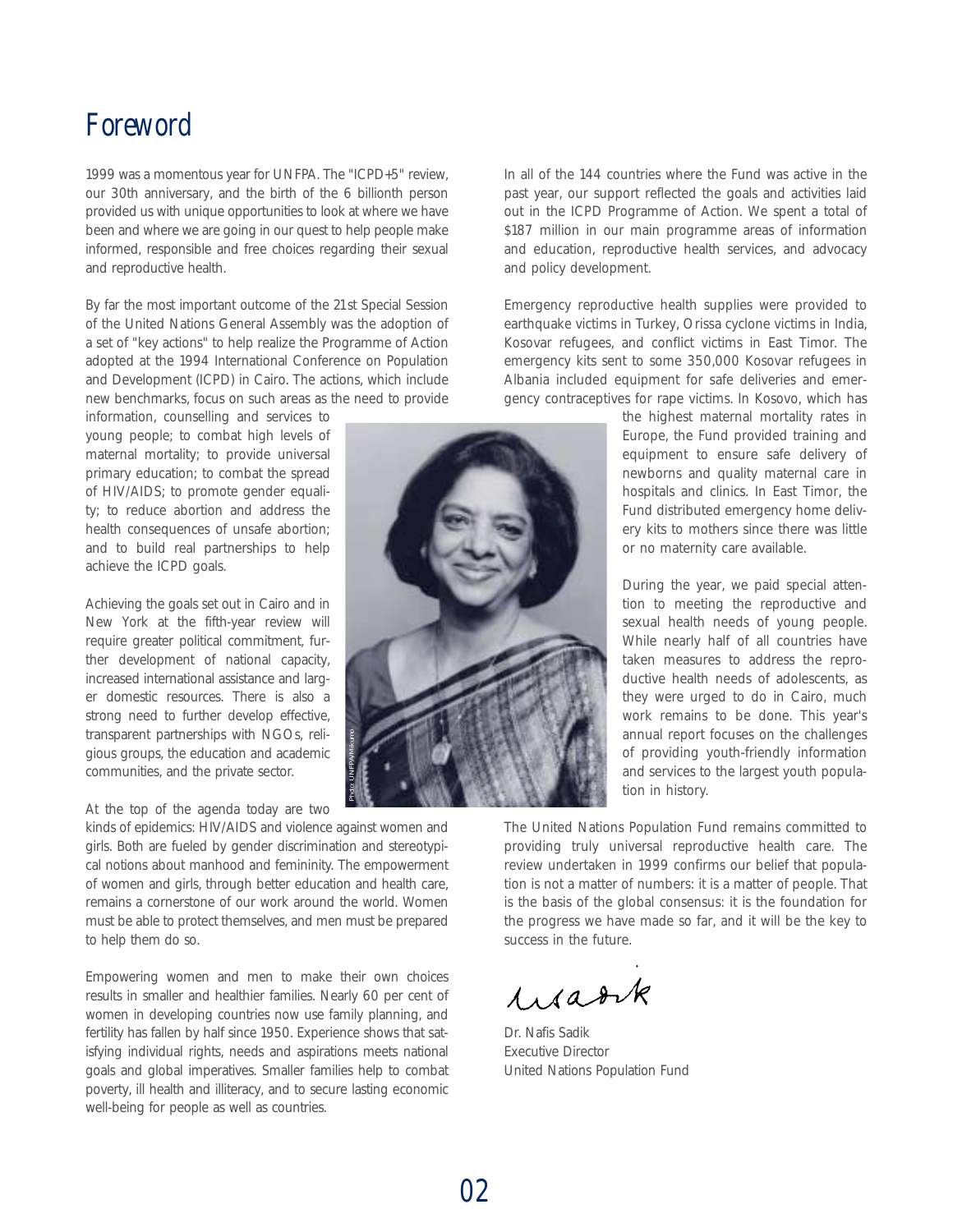## *Foreword*

1999 was a momentous year for UNFPA. The "ICPD+5" review, our 30th anniversary, and the birth of the 6 billionth person provided us with unique opportunities to look at where we have been and where we are going in our quest to help people make informed, responsible and free choices regarding their sexual and reproductive health.

By far the most important outcome of the 21st Special Session of the United Nations General Assembly was the adoption of a set of "key actions" to help realize the Programme of Action adopted at the 1994 International Conference on Population and Development (ICPD) in Cairo. The actions, which include new benchmarks, focus on such areas as the need to provide

information, counselling and services to young people; to combat high levels of maternal mortality; to provide universal primary education; to combat the spread of HIV/AIDS; to promote gender equality; to reduce abortion and address the health consequences of unsafe abortion; and to build real partnerships to help achieve the ICPD goals.

Achieving the goals set out in Cairo and in New York at the fifth-year review will require greater political commitment, further development of national capacity, increased international assistance and larger domestic resources. There is also a strong need to further develop effective, transparent partnerships with NGOs, religious groups, the education and academic communities, and the private sector.

#### At the top of the agenda today are two

kinds of epidemics: HIV/AIDS and violence against women and girls. Both are fueled by gender discrimination and stereotypical notions about manhood and femininity. The empowerment of women and girls, through better education and health care, remains a cornerstone of our work around the world. Women must be able to protect themselves, and men must be prepared to help them do so.

Empowering women and men to make their own choices results in smaller and healthier families. Nearly 60 per cent of women in developing countries now use family planning, and fertility has fallen by half since 1950. Experience shows that satisfying individual rights, needs and aspirations meets national goals and global imperatives. Smaller families help to combat poverty, ill health and illiteracy, and to secure lasting economic well-being for people as well as countries.



In all of the 144 countries where the Fund was active in the past year, our support reflected the goals and activities laid out in the ICPD Programme of Action. We spent a total of \$187 million in our main programme areas of information and education, reproductive health services, and advocacy and policy development.

Emergency reproductive health supplies were provided to earthquake victims in Turkey, Orissa cyclone victims in India, Kosovar refugees, and conflict victims in East Timor. The emergency kits sent to some 350,000 Kosovar refugees in Albania included equipment for safe deliveries and emergency contraceptives for rape victims. In Kosovo, which has

> the highest maternal mortality rates in Europe, the Fund provided training and equipment to ensure safe delivery of newborns and quality maternal care in hospitals and clinics. In East Timor, the Fund distributed emergency home delivery kits to mothers since there was little or no maternity care available.

> During the year, we paid special attention to meeting the reproductive and sexual health needs of young people. While nearly half of all countries have taken measures to address the reproductive health needs of adolescents, as they were urged to do in Cairo, much work remains to be done. This year's annual report focuses on the challenges of providing youth-friendly information and services to the largest youth population in history.

The United Nations Population Fund remains committed to providing truly universal reproductive health care. The review undertaken in 1999 confirms our belief that population is not a matter of numbers: it is a matter of people. That is the basis of the global consensus: it is the foundation for the progress we have made so far, and it will be the key to success in the future.

Warrk

Dr. Nafis Sadik Executive Director United Nations Population Fund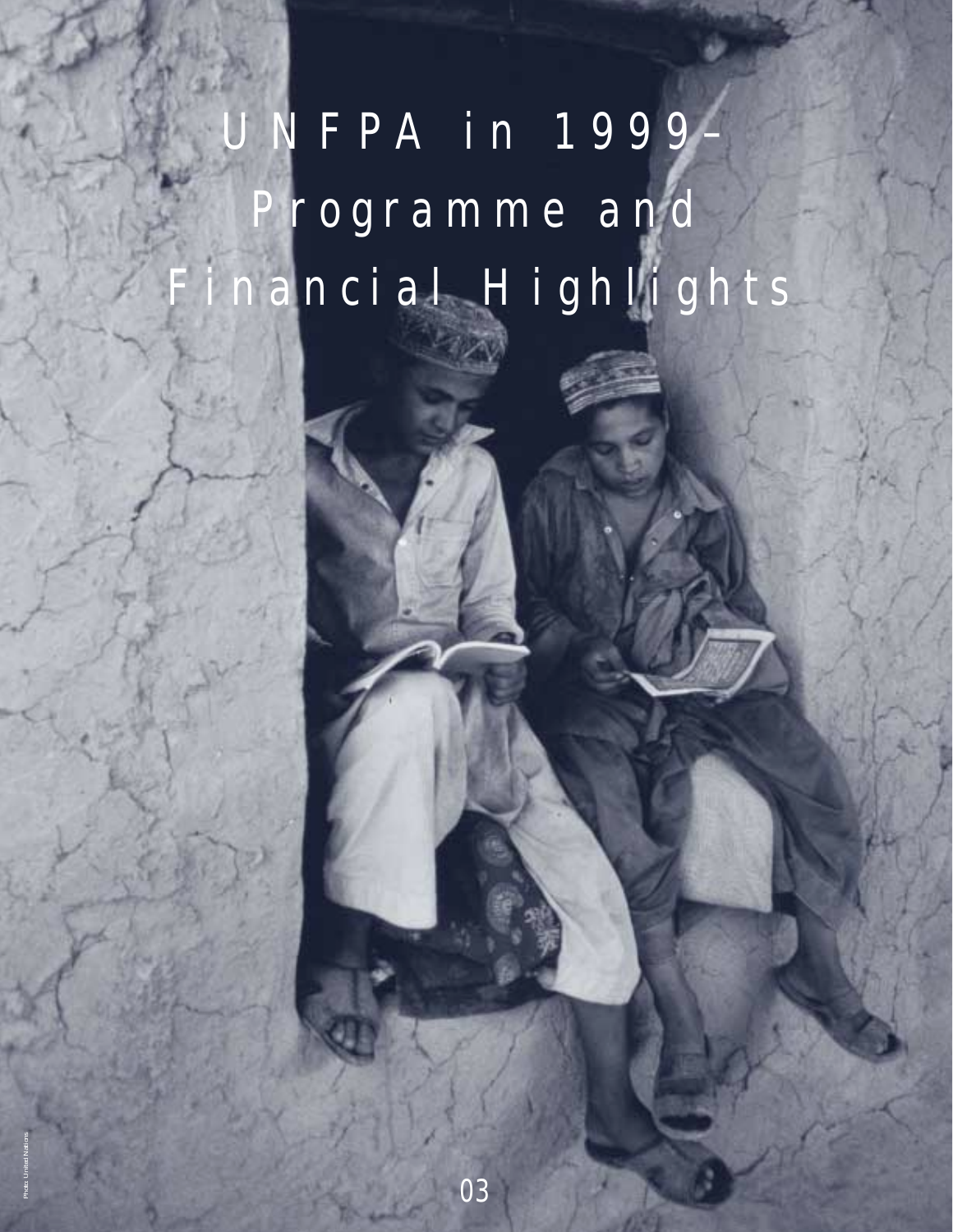*UNFPA in 1999– Programme and Financial Highlights*

*03*

*Photo: United Nations*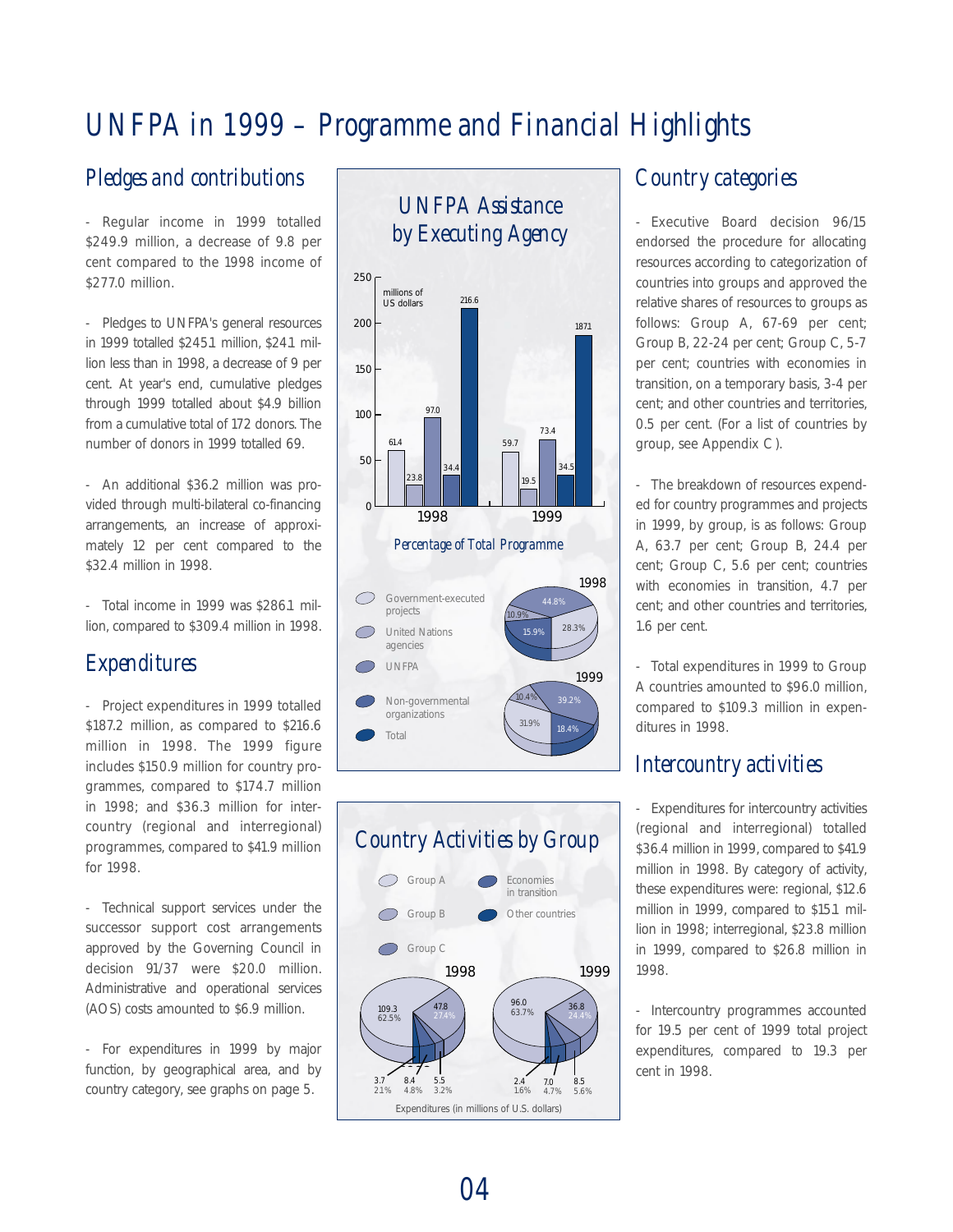# *UNFPA in 1999 – Programme and Financial Highlights*

## *Pledges and contributions*

- Regular income in 1999 totalled \$249.9 million, a decrease of 9.8 per cent compared to the 1998 income of \$277.0 million.

- Pledges to UNFPA's general resources in 1999 totalled \$245.1 million, \$24.1 million less than in 1998, a decrease of 9 per cent. At year's end, cumulative pledges through 1999 totalled about \$4.9 billion from a cumulative total of 172 donors. The number of donors in 1999 totalled 69.

- An additional \$36.2 million was provided through multi-bilateral co-financing arrangements, an increase of approximately 12 per cent compared to the \$32.4 million in 1998.

- Total income in 1999 was \$286.1 million, compared to \$309.4 million in 1998.

## *Expenditures*

- Project expenditures in 1999 totalled \$187.2 million, as compared to \$216.6 million in 1998. The 1999 figure includes \$150.9 million for country programmes, compared to \$174.7 million in 1998; and \$36.3 million for intercountry (regional and interregional) programmes, compared to \$41.9 million for 1998.

- Technical support services under the successor support cost arrangements approved by the Governing Council in decision 91/37 were \$20.0 million. Administrative and operational services (AOS) costs amounted to \$6.9 million.

- For expenditures in 1999 by major function, by geographical area, and by country category, see graphs on page 5.

## *UNFPA Assistance by Executing Agency*





## *Country categories*

- Executive Board decision 96/15 endorsed the procedure for allocating resources according to categorization of countries into groups and approved the relative shares of resources to groups as follows: Group A, 67-69 per cent; Group B, 22-24 per cent; Group C, 5-7 per cent; countries with economies in transition, on a temporary basis, 3-4 per cent; and other countries and territories, 0.5 per cent. (For a list of countries by group, see Appendix C ).

- The breakdown of resources expended for country programmes and projects in 1999, by group, is as follows: Group A, 63.7 per cent; Group B, 24.4 per cent; Group C, 5.6 per cent; countries with economies in transition, 4.7 per cent; and other countries and territories, 1.6 per cent.

- Total expenditures in 1999 to Group A countries amounted to \$96.0 million, compared to \$109.3 million in expenditures in 1998.

## *Intercountry activities*

- Expenditures for intercountry activities (regional and interregional) totalled \$36.4 million in 1999, compared to \$41.9 million in 1998. By category of activity, these expenditures were: regional, \$12.6 million in 1999, compared to \$15.1 million in 1998; interregional, \$23.8 million in 1999, compared to \$26.8 million in 1998.

- Intercountry programmes accounted for 19.5 per cent of 1999 total project expenditures, compared to 19.3 per cent in 1998.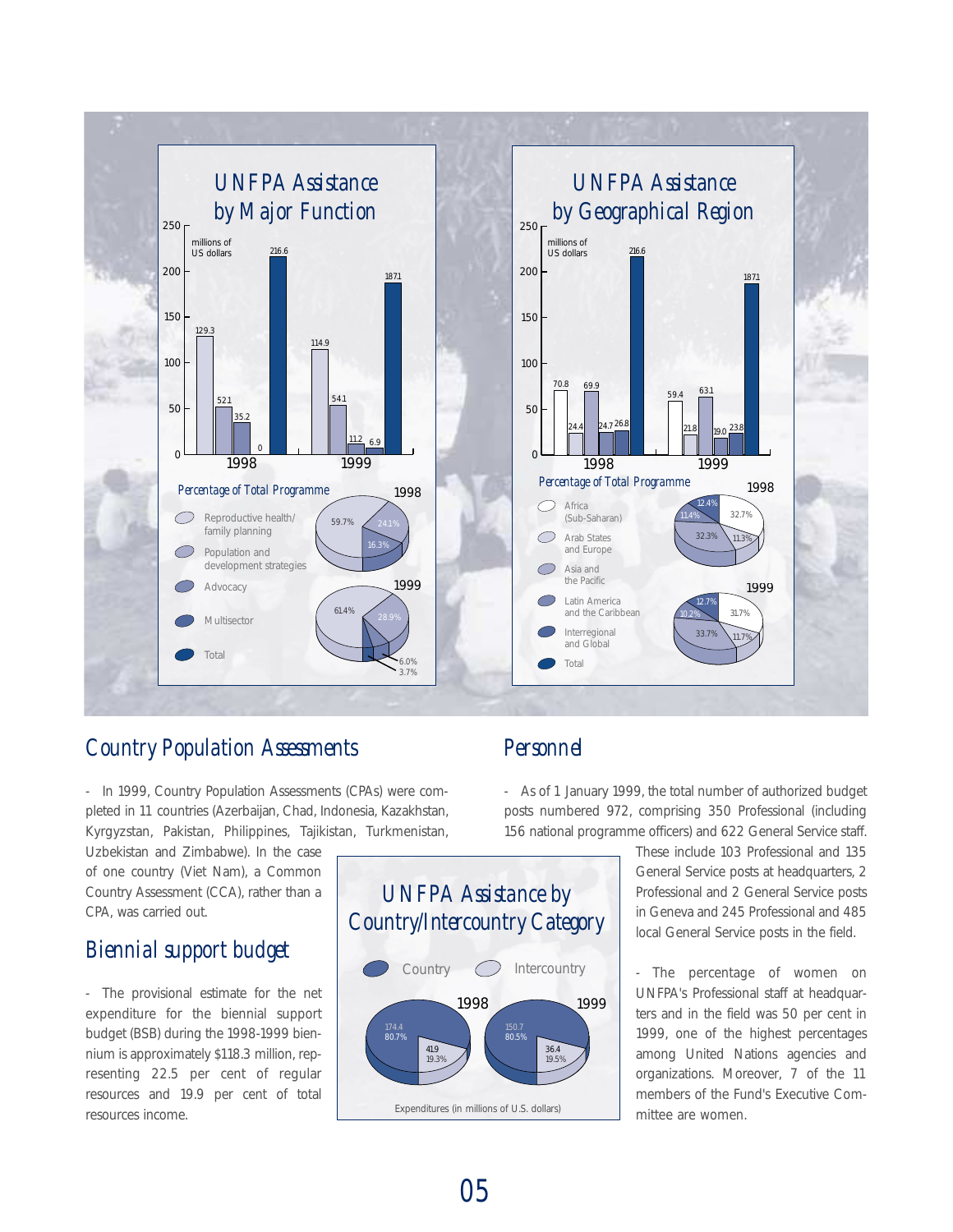

## *Country Population Assessments*

- In 1999, Country Population Assessments (CPAs) were completed in 11 countries (Azerbaijan, Chad, Indonesia, Kazakhstan, Kyrgyzstan, Pakistan, Philippines, Tajikistan, Turkmenistan,

Uzbekistan and Zimbabwe). In the case of one country (Viet Nam), a Common Country Assessment (CCA), rather than a CPA, was carried out.

## *Biennial support budget*

- The provisional estimate for the net expenditure for the biennial support budget (BSB) during the 1998-1999 biennium is approximately \$118.3 million, representing 22.5 per cent of regular resources and 19.9 per cent of total resources income.

## *Personnel*

- As of 1 January 1999, the total number of authorized budget posts numbered 972, comprising 350 Professional (including 156 national programme officers) and 622 General Service staff.

> These include 103 Professional and 135 General Service posts at headquarters, 2 Professional and 2 General Service posts in Geneva and 245 Professional and 485 local General Service posts in the field.

> - The percentage of women on UNFPA's Professional staff at headquarters and in the field was 50 per cent in 1999, one of the highest percentages among United Nations agencies and organizations. Moreover, 7 of the 11 members of the Fund's Executive Committee are women.



*05*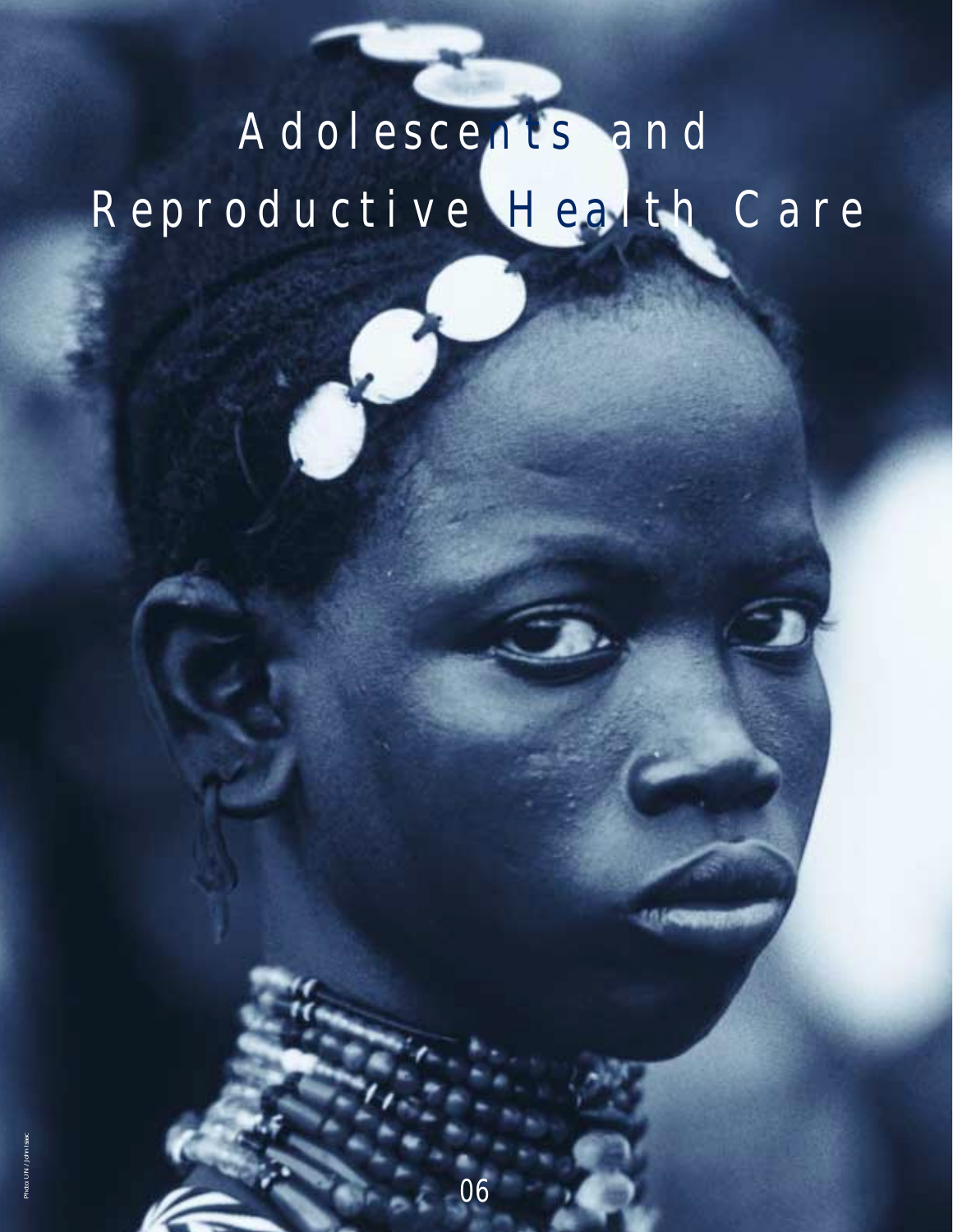# *Adolesce nts and Reproductive Hea lth Care*

*06*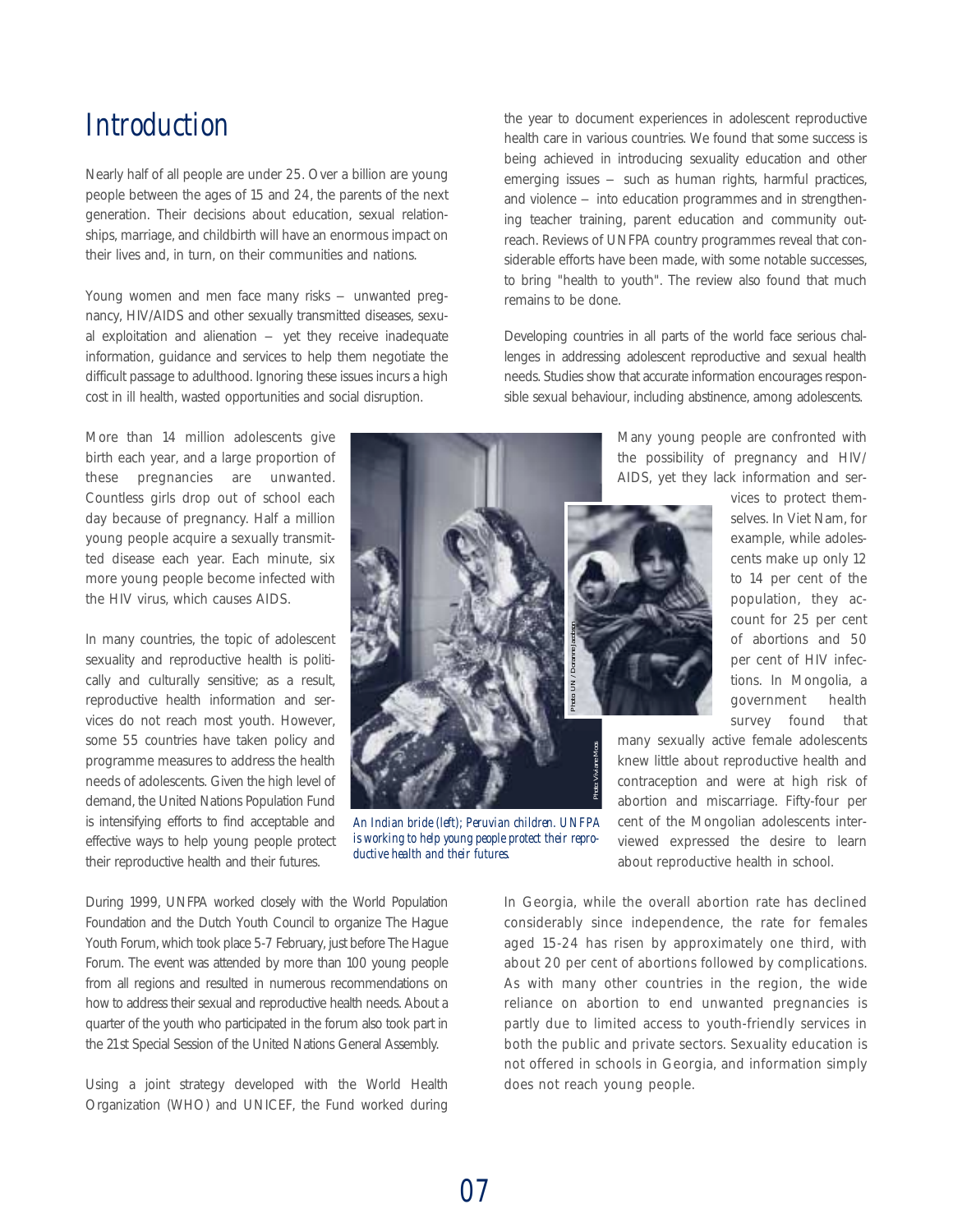## *Introduction*

Nearly half of all people are under 25. Over a billion are young people between the ages of 15 and 24, the parents of the next generation. Their decisions about education, sexual relationships, marriage, and childbirth will have an enormous impact on their lives and, in turn, on their communities and nations.

Young women and men face many risks - unwanted pregnancy, HIV/AIDS and other sexually transmitted diseases, sexual exploitation and alienation  $-$  yet they receive inadequate information, guidance and services to help them negotiate the difficult passage to adulthood. Ignoring these issues incurs a high cost in ill health, wasted opportunities and social disruption.

More than 14 million adolescents give birth each year, and a large proportion of these pregnancies are unwanted. Countless girls drop out of school each day because of pregnancy. Half a million young people acquire a sexually transmitted disease each year. Each minute, six more young people become infected with the HIV virus, which causes AIDS.

In many countries, the topic of adolescent sexuality and reproductive health is politically and culturally sensitive; as a result, reproductive health information and services do not reach most youth. However, some 55 countries have taken policy and programme measures to address the health needs of adolescents. Given the high level of demand, the United Nations Population Fund is intensifying efforts to find acceptable and effective ways to help young people protect their reproductive health and their futures.

During 1999, UNFPA worked closely with the World Population Foundation and the Dutch Youth Council to organize The Hague Youth Forum, which took place 5-7 February, just before The Hague Forum. The event was attended by more than 100 young people from all regions and resulted in numerous recommendations on how to address their sexual and reproductive health needs. About a quarter of the youth who participated in the forum also took part in the 21st Special Session of the United Nations General Assembly.

Using a joint strategy developed with the World Health Organization (WHO) and UNICEF, the Fund worked during

the year to document experiences in adolescent reproductive health care in various countries. We found that some success is being achieved in introducing sexuality education and other emerging issues – such as human rights, harmful practices, and violence – into education programmes and in strengthening teacher training, parent education and community outreach. Reviews of UNFPA country programmes reveal that considerable efforts have been made, with some notable successes, to bring "health to youth". The review also found that much remains to be done.

Developing countries in all parts of the world face serious challenges in addressing adolescent reproductive and sexual health needs. Studies show that accurate information encourages responsible sexual behaviour, including abstinence, among adolescents.

> Many young people are confronted with the possibility of pregnancy and HIV/ AIDS, yet they lack information and ser-



vices to protect themselves. In Viet Nam, for example, while adolescents make up only 12 to 14 per cent of the population, they account for 25 per cent of abortions and 50 per cent of HIV infections. In Mongolia, a government health survey found that

many sexually active female adolescents knew little about reproductive health and contraception and were at high risk of abortion and miscarriage. Fifty-four per cent of the Mongolian adolescents interviewed expressed the desire to learn about reproductive health in school.

In Georgia, while the overall abortion rate has declined considerably since independence, the rate for females aged 15-24 has risen by approximately one third, with about 20 per cent of abortions followed by complications. As with many other countries in the region, the wide reliance on abortion to end unwanted pregnancies is partly due to limited access to youth-friendly services in both the public and private sectors. Sexuality education is not offered in schools in Georgia, and information simply does not reach young people.

*An Indian bride (left); Peruvian children. UNFPA is working to help young people protect their repro-*

*ductive health and their futures. Photo: Viviane Moos*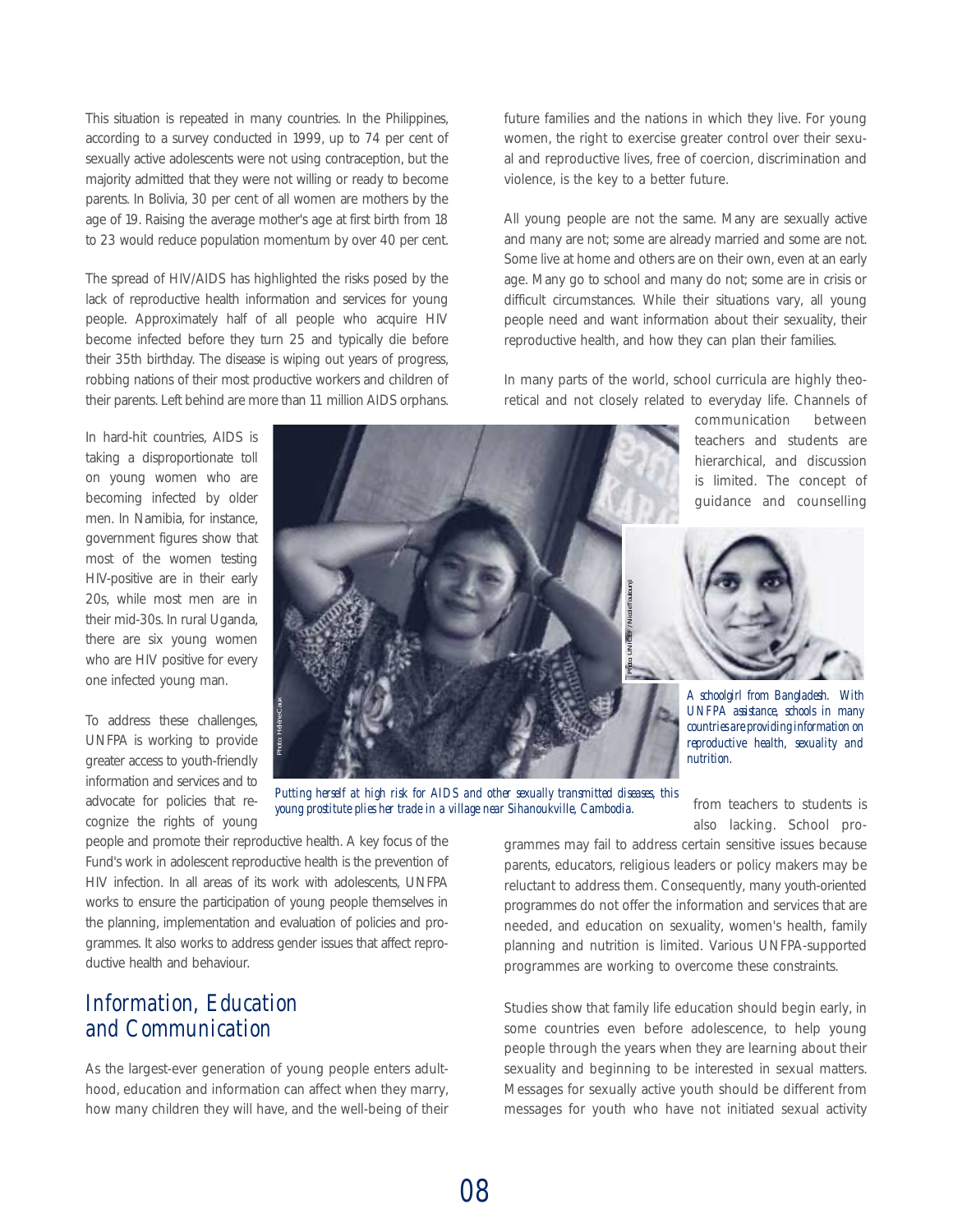This situation is repeated in many countries. In the Philippines, according to a survey conducted in 1999, up to 74 per cent of sexually active adolescents were not using contraception, but the majority admitted that they were not willing or ready to become parents. In Bolivia, 30 per cent of all women are mothers by the age of 19. Raising the average mother's age at first birth from 18 to 23 would reduce population momentum by over 40 per cent.

The spread of HIV/AIDS has highlighted the risks posed by the lack of reproductive health information and services for young people. Approximately half of all people who acquire HIV become infected before they turn 25 and typically die before their 35th birthday. The disease is wiping out years of progress, robbing nations of their most productive workers and children of their parents. Left behind are more than 11 million AIDS orphans.

In hard-hit countries, AIDS is taking a disproportionate toll on young women who are becoming infected by older men. In Namibia, for instance, government figures show that most of the women testing HIV-positive are in their early 20s, while most men are in their mid-30s. In rural Uganda, there are six young women who are HIV positive for every one infected young man.

To address these challenges, UNFPA is working to provide greater access to youth-friendly information and services and to advocate for policies that recognize the rights of young



*Putting herself at high risk for AIDS and other sexually transmitted diseases, this young prostitute plies her trade in a village near Sihanoukville, Cambodia.*

people and promote their reproductive health. A key focus of the Fund's work in adolescent reproductive health is the prevention of HIV infection. In all areas of its work with adolescents, UNFPA works to ensure the participation of young people themselves in the planning, implementation and evaluation of policies and programmes. It also works to address gender issues that affect reproductive health and behaviour.

## *Information, Education and Communication*

As the largest-ever generation of young people enters adulthood, education and information can affect when they marry, how many children they will have, and the well-being of their future families and the nations in which they live. For young women, the right to exercise greater control over their sexual and reproductive lives, free of coercion, discrimination and violence, is the key to a better future.

All young people are not the same. Many are sexually active and many are not; some are already married and some are not. Some live at home and others are on their own, even at an early age. Many go to school and many do not; some are in crisis or difficult circumstances. While their situations vary, all young people need and want information about their sexuality, their reproductive health, and how they can plan their families.

In many parts of the world, school curricula are highly theoretical and not closely related to everyday life. Channels of

> communication between teachers and students are hierarchical, and discussion is limited. The concept of guidance and counselling



*A schoolgirl from Bangladesh. With UNFPA assistance, schools in many countries are providing information on reproductive health, sexuality and nutrition.*

from teachers to students is also lacking. School pro-

grammes may fail to address certain sensitive issues because parents, educators, religious leaders or policy makers may be reluctant to address them. Consequently, many youth-oriented programmes do not offer the information and services that are needed, and education on sexuality, women's health, family planning and nutrition is limited. Various UNFPA-supported programmes are working to overcome these constraints.

Studies show that family life education should begin early, in some countries even before adolescence, to help young people through the years when they are learning about their sexuality and beginning to be interested in sexual matters. Messages for sexually active youth should be different from messages for youth who have not initiated sexual activity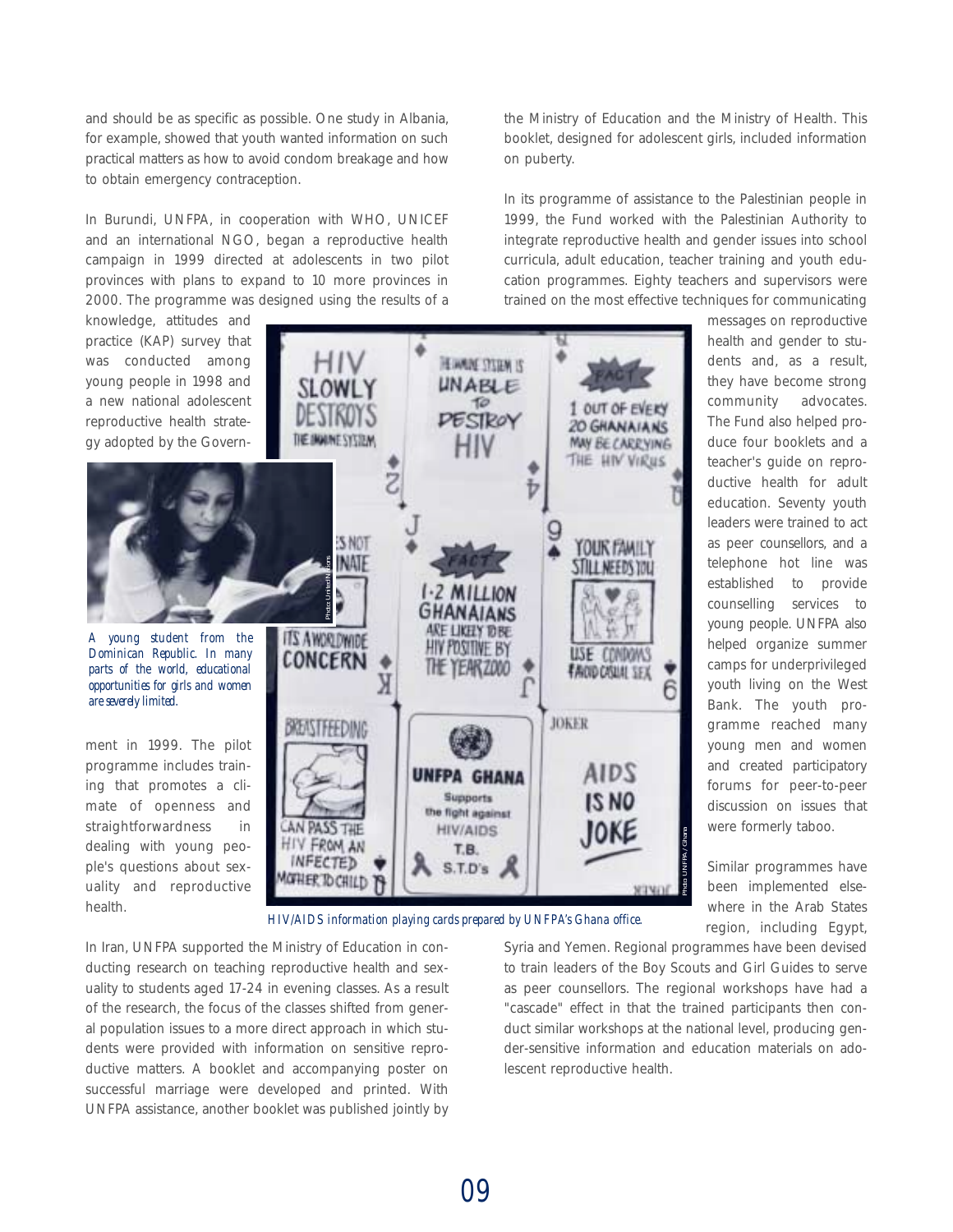and should be as specific as possible. One study in Albania, for example, showed that youth wanted information on such practical matters as how to avoid condom breakage and how to obtain emergency contraception.

In Burundi, UNFPA, in cooperation with WHO, UNICEF and an international NGO, began a reproductive health campaign in 1999 directed at adolescents in two pilot provinces with plans to expand to 10 more provinces in 2000. The programme was designed using the results of a the Ministry of Education and the Ministry of Health. This booklet, designed for adolescent girls, included information on puberty.

In its programme of assistance to the Palestinian people in 1999, the Fund worked with the Palestinian Authority to integrate reproductive health and gender issues into school curricula, adult education, teacher training and youth education programmes. Eighty teachers and supervisors were trained on the most effective techniques for communicating



In Iran, UNFPA supported the Ministry of Education in conducting research on teaching reproductive health and sexuality to students aged 17-24 in evening classes. As a result of the research, the focus of the classes shifted from general population issues to a more direct approach in which students were provided with information on sensitive reproductive matters. A booklet and accompanying poster on successful marriage were developed and printed. With UNFPA assistance, another booklet was published jointly by Syria and Yemen. Regional programmes have been devised to train leaders of the Boy Scouts and Girl Guides to serve as peer counsellors. The regional workshops have had a "cascade" effect in that the trained participants then conduct similar workshops at the national level, producing gender-sensitive information and education materials on adolescent reproductive health.

region, including Egypt,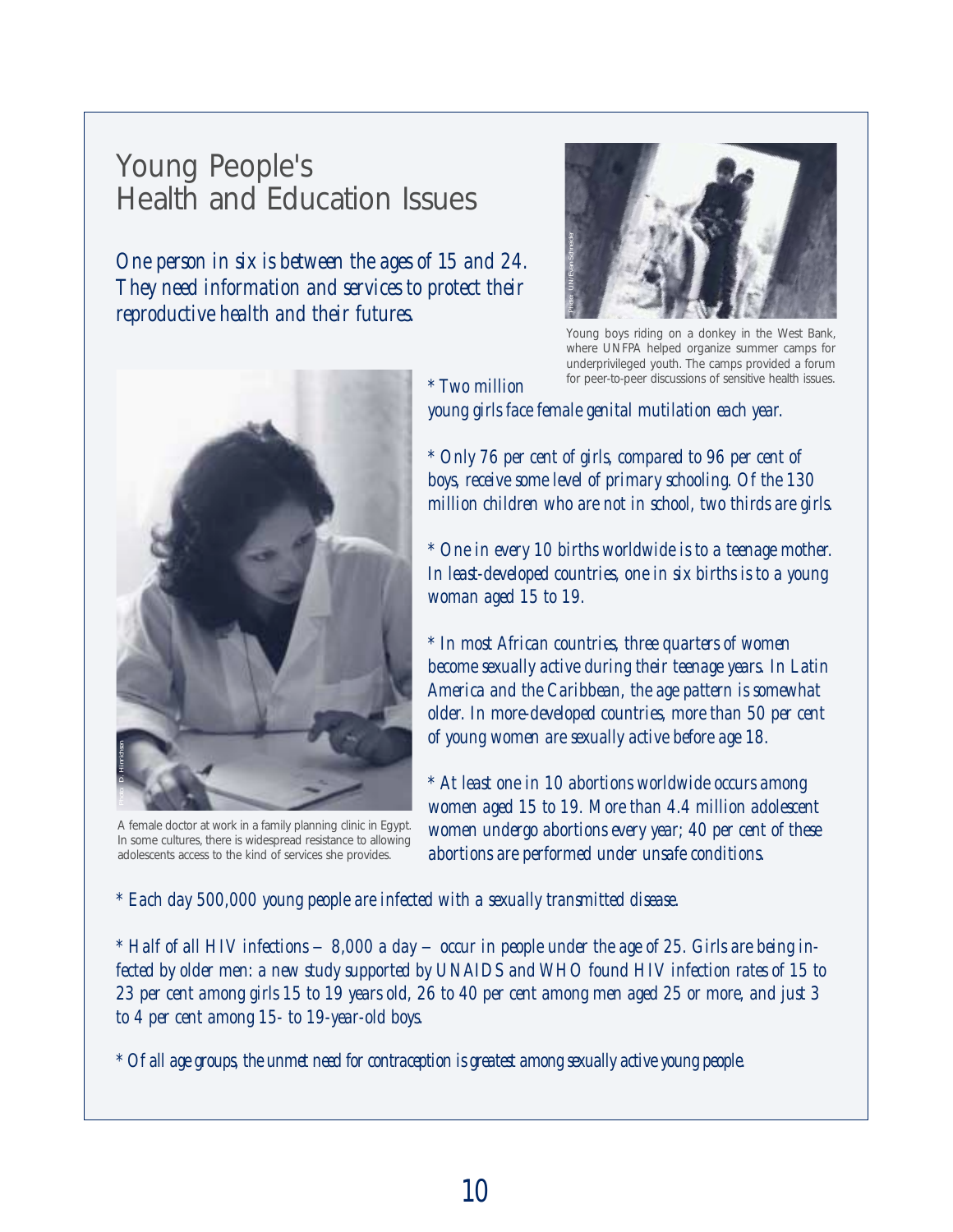## Young People's Health and Education Issues

*One person in six is between the ages of 15 and 24. They need information and services to protect their reproductive health and their futures.*



A female doctor at work in a family planning clinic in Egypt. In some cultures, there is widespread resistance to allowing adolescents access to the kind of services she provides.



Young boys riding on a donkey in the West Bank, where UNFPA helped organize summer camps for underprivileged youth. The camps provided a forum for peer-to-peer discussions of sensitive health issues.

*\* Two million young girls face female genital mutilation each year.*

*\* Only 76 per cent of girls, compared to 96 per cent of boys, receive some level of primary schooling. Of the 130 million children who are not in school, two thirds are girls.*

*\* One in every 10 births worldwide is to a teenage mother. In least-developed countries, one in six births is to a young woman aged 15 to 19.* 

*\* In most African countries, three quarters of women become sexually active during their teenage years. In Latin America and the Caribbean, the age pattern is somewhat older. In more-developed countries, more than 50 per cent of young women are sexually active before age 18.* 

*\* At least one in 10 abortions worldwide occurs among women aged 15 to 19. More than 4.4 million adolescent women undergo abortions every year; 40 per cent of these abortions are performed under unsafe conditions.*

*\* Each day 500,000 young people are infected with a sexually transmitted disease.*

*\* Half of all HIV infections – 8,000 a day – occur in people under the age of 25. Girls are being infected by older men: a new study supported by UNAIDS and WHO found HIV infection rates of 15 to 23 per cent among girls 15 to 19 years old, 26 to 40 per cent among men aged 25 or more, and just 3 to 4 per cent among 15- to 19-year-old boys.*

*\* Of all age groups, the unmet need for contraception is greatest among sexually active young people.*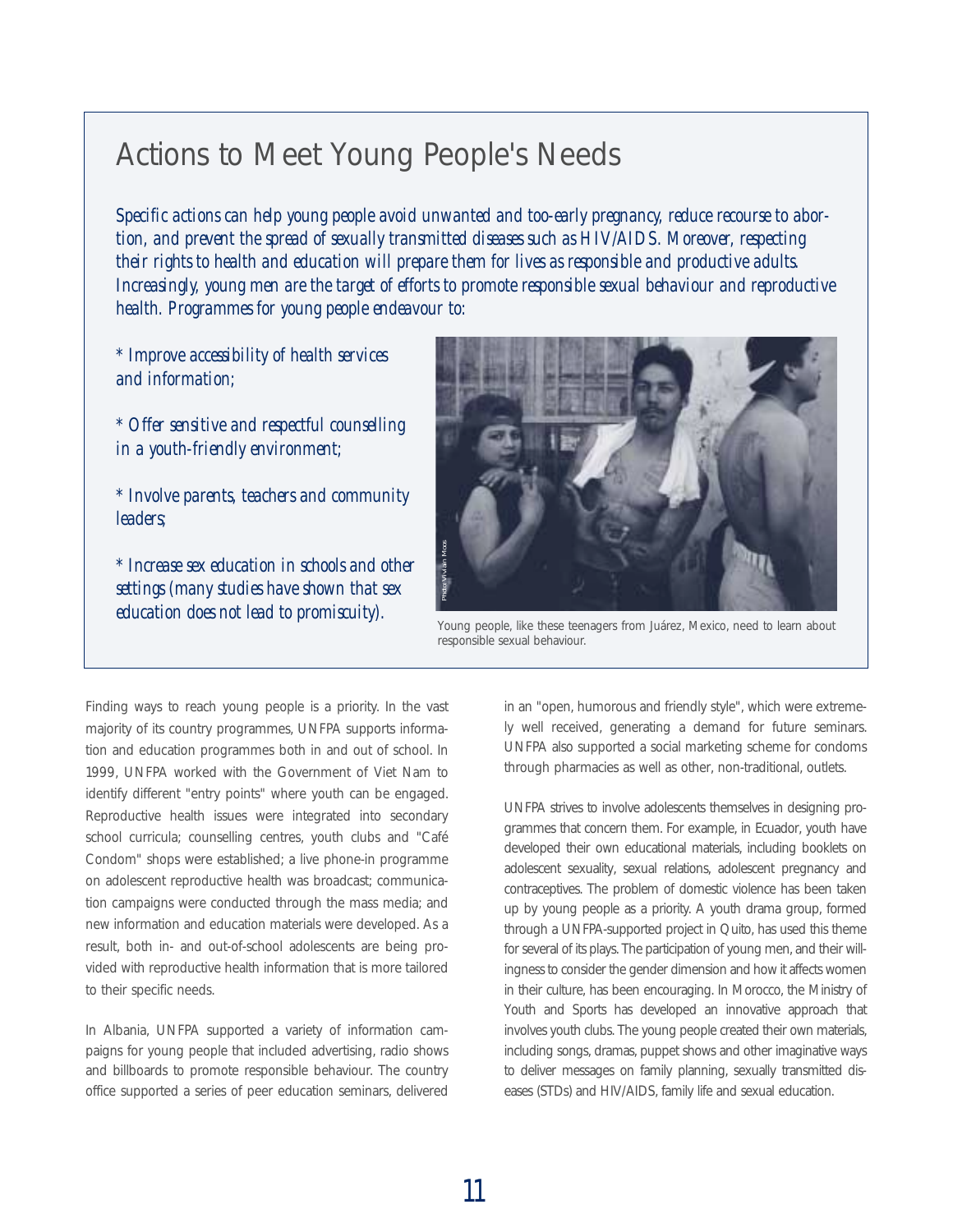# Actions to Meet Young People's Needs

*Specific actions can help young people avoid unwanted and too-early pregnancy, reduce recourse to abortion, and prevent the spread of sexually transmitted diseases such as HIV/AIDS. Moreover, respecting their rights to health and education will prepare them for lives as responsible and productive adults. Increasingly, young men are the target of efforts to promote responsible sexual behaviour and reproductive health. Programmes for young people endeavour to:*

*\* Improve accessibility of health services and information;*

*\* Offer sensitive and respectful counselling in a youth-friendly environment;*

*\* Involve parents, teachers and community leaders;*

*\* Increase sex education in schools and other settings (many studies have shown that sex education does not lead to promiscuity).*



Young people, like these teenagers from Juárez, Mexico, need to learn about

Finding ways to reach young people is a priority. In the vast majority of its country programmes, UNFPA supports information and education programmes both in and out of school. In 1999, UNFPA worked with the Government of Viet Nam to identify different "entry points" where youth can be engaged. Reproductive health issues were integrated into secondary school curricula; counselling centres, youth clubs and "Café Condom" shops were established; a live phone-in programme on adolescent reproductive health was broadcast; communication campaigns were conducted through the mass media; and new information and education materials were developed. As a result, both in- and out-of-school adolescents are being provided with reproductive health information that is more tailored to their specific needs.

In Albania, UNFPA supported a variety of information campaigns for young people that included advertising, radio shows and billboards to promote responsible behaviour. The country office supported a series of peer education seminars, delivered

in an "open, humorous and friendly style", which were extremely well received, generating a demand for future seminars. UNFPA also supported a social marketing scheme for condoms through pharmacies as well as other, non-traditional, outlets.

UNFPA strives to involve adolescents themselves in designing programmes that concern them. For example, in Ecuador, youth have developed their own educational materials, including booklets on adolescent sexuality, sexual relations, adolescent pregnancy and contraceptives. The problem of domestic violence has been taken up by young people as a priority. A youth drama group, formed through a UNFPA-supported project in Quito, has used this theme for several of its plays. The participation of young men, and their willingness to consider the gender dimension and how it affects women in their culture, has been encouraging. In Morocco, the Ministry of Youth and Sports has developed an innovative approach that involves youth clubs. The young people created their own materials, including songs, dramas, puppet shows and other imaginative ways to deliver messages on family planning, sexually transmitted diseases (STDs) and HIV/AIDS, family life and sexual education.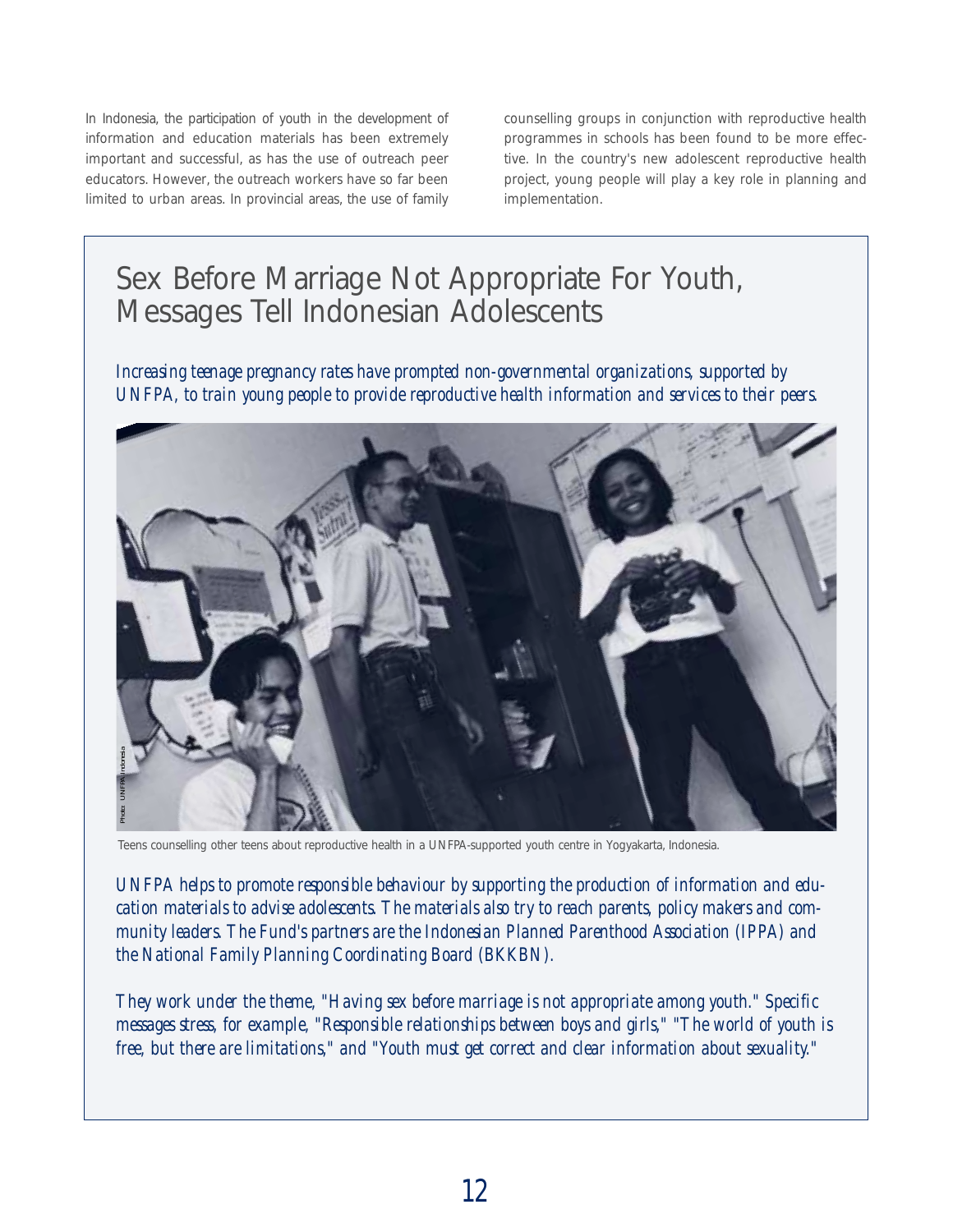In Indonesia, the participation of youth in the development of information and education materials has been extremely important and successful, as has the use of outreach peer educators. However, the outreach workers have so far been limited to urban areas. In provincial areas, the use of family

counselling groups in conjunction with reproductive health programmes in schools has been found to be more effective. In the country's new adolescent reproductive health project, young people will play a key role in planning and implementation.

# Sex Before Marriage Not Appropriate For Youth, Messages Tell Indonesian Adolescents

*Increasing teenage pregnancy rates have prompted non-governmental organizations, supported by UNFPA, to train young people to provide reproductive health information and services to their peers.*



Teens counselling other teens about reproductive health in a UNFPA-supported youth centre in Yogyakarta, Indonesia.

*UNFPA helps to promote responsible behaviour by supporting the production of information and education materials to advise adolescents. The materials also try to reach parents, policy makers and community leaders. The Fund's partners are the Indonesian Planned Parenthood Association (IPPA) and the National Family Planning Coordinating Board (BKKBN).*

*They work under the theme, "Having sex before marriage is not appropriate among youth." Specific messages stress, for example, "Responsible relationships between boys and girls," "The world of youth is free, but there are limitations," and "Youth must get correct and clear information about sexuality."*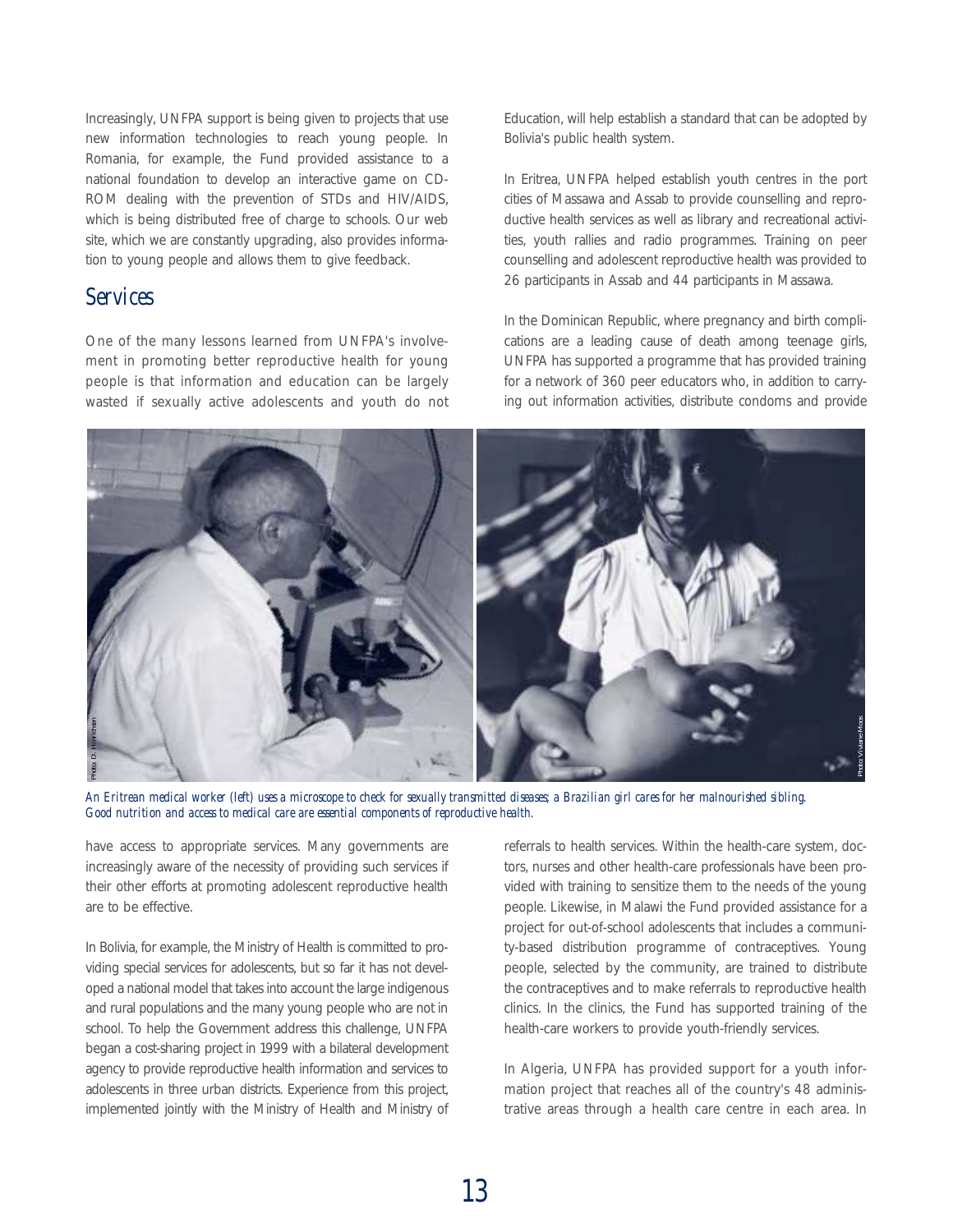Increasingly, UNFPA support is being given to projects that use new information technologies to reach young people. In Romania, for example, the Fund provided assistance to a national foundation to develop an interactive game on CD-ROM dealing with the prevention of STDs and HIV/AIDS, which is being distributed free of charge to schools. Our web site, which we are constantly upgrading, also provides information to young people and allows them to give feedback.

### *Services*

One of the many lessons learned from UNFPA's involvement in promoting better reproductive health for young people is that information and education can be largely wasted if sexually active adolescents and youth do not Education, will help establish a standard that can be adopted by Bolivia's public health system.

In Eritrea, UNFPA helped establish youth centres in the port cities of Massawa and Assab to provide counselling and reproductive health services as well as library and recreational activities, youth rallies and radio programmes. Training on peer counselling and adolescent reproductive health was provided to 26 participants in Assab and 44 participants in Massawa.

In the Dominican Republic, where pregnancy and birth complications are a leading cause of death among teenage girls, UNFPA has supported a programme that has provided training for a network of 360 peer educators who, in addition to carrying out information activities, distribute condoms and provide



*An Eritrean medical worker (left) uses a microscope to check for sexually transmitted diseases; a Brazilian girl cares for her malnourished sibling. Good nutrition and access to medical care are essential components of reproductive health.*

have access to appropriate services. Many governments are increasingly aware of the necessity of providing such services if their other efforts at promoting adolescent reproductive health are to be effective.

In Bolivia, for example, the Ministry of Health is committed to providing special services for adolescents, but so far it has not developed a national model that takes into account the large indigenous and rural populations and the many young people who are not in school. To help the Government address this challenge, UNFPA began a cost-sharing project in 1999 with a bilateral development agency to provide reproductive health information and services to adolescents in three urban districts. Experience from this project, implemented jointly with the Ministry of Health and Ministry of referrals to health services. Within the health-care system, doctors, nurses and other health-care professionals have been provided with training to sensitize them to the needs of the young people. Likewise, in Malawi the Fund provided assistance for a project for out-of-school adolescents that includes a community-based distribution programme of contraceptives. Young people, selected by the community, are trained to distribute the contraceptives and to make referrals to reproductive health clinics. In the clinics, the Fund has supported training of the health-care workers to provide youth-friendly services.

In Algeria, UNFPA has provided support for a youth information project that reaches all of the country's 48 administrative areas through a health care centre in each area. In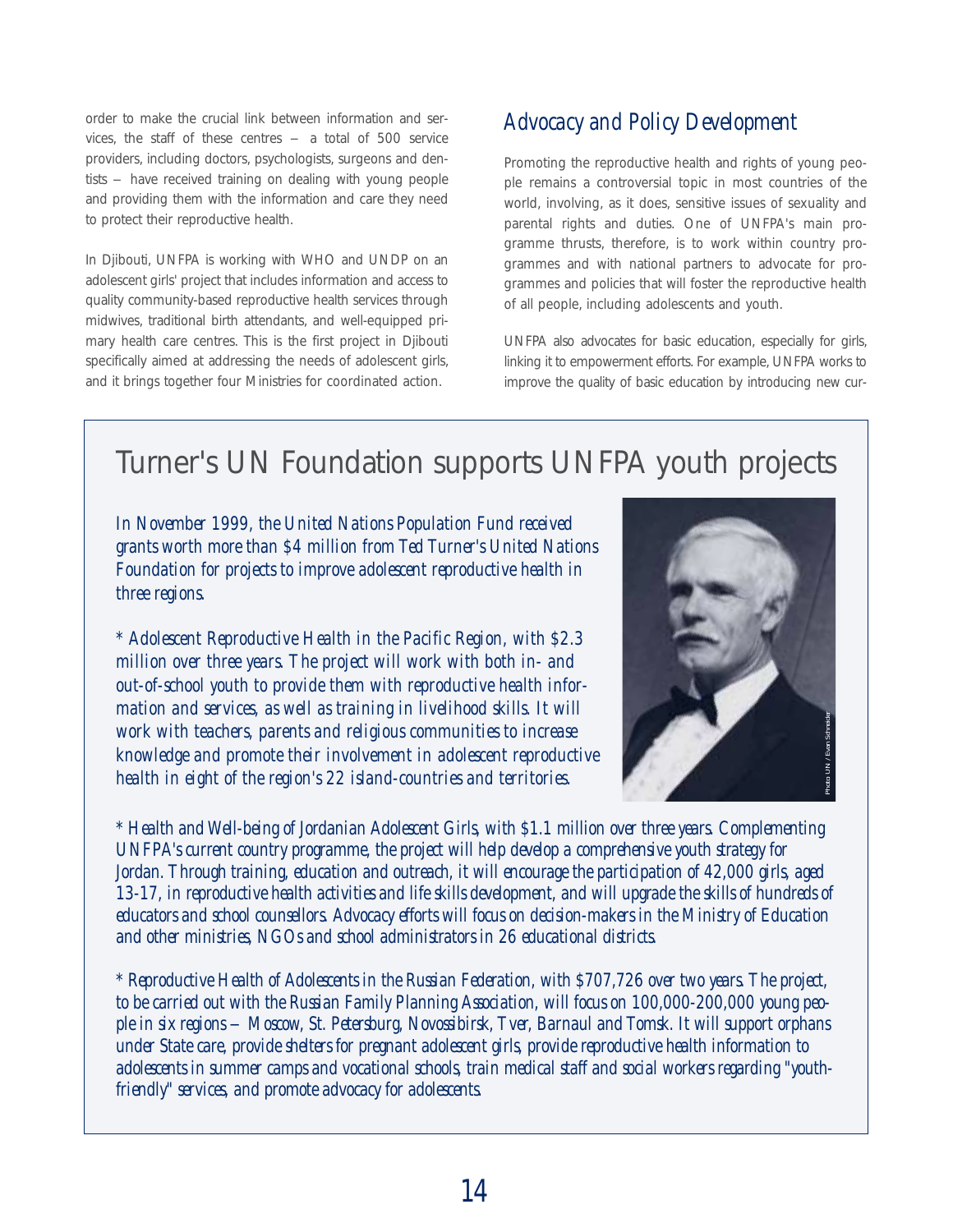order to make the crucial link between information and services, the staff of these centres  $-$  a total of 500 service providers, including doctors, psychologists, surgeons and dentists – have received training on dealing with young people and providing them with the information and care they need to protect their reproductive health.

In Djibouti, UNFPA is working with WHO and UNDP on an adolescent girls' project that includes information and access to quality community-based reproductive health services through midwives, traditional birth attendants, and well-equipped primary health care centres. This is the first project in Djibouti specifically aimed at addressing the needs of adolescent girls, and it brings together four Ministries for coordinated action.

## *Advocacy and Policy Development*

Promoting the reproductive health and rights of young people remains a controversial topic in most countries of the world, involving, as it does, sensitive issues of sexuality and parental rights and duties. One of UNFPA's main programme thrusts, therefore, is to work within country programmes and with national partners to advocate for programmes and policies that will foster the reproductive health of all people, including adolescents and youth.

UNFPA also advocates for basic education, especially for girls, linking it to empowerment efforts. For example, UNFPA works to improve the quality of basic education by introducing new cur-

# Turner's UN Foundation supports UNFPA youth projects

*In November 1999, the United Nations Population Fund received grants worth more than \$4 million from Ted Turner's United Nations Foundation for projects to improve adolescent reproductive health in three regions.* 

*\* Adolescent Reproductive Health in the Pacific Region, with \$2.3 million over three years. The project will work with both in- and out-of-school youth to provide them with reproductive health information and services, as well as training in livelihood skills. It will work with teachers, parents and religious communities to increase knowledge and promote their involvement in adolescent reproductive health in eight of the region's 22 island-countries and territories.*



*\* Health and Well-being of Jordanian Adolescent Girls, with \$1.1 million over three years. Complementing UNFPA's current country programme, the project will help develop a comprehensive youth strategy for Jordan. Through training, education and outreach, it will encourage the participation of 42,000 girls, aged 13-17, in reproductive health activities and life skills development, and will upgrade the skills of hundreds of educators and school counsellors. Advocacy efforts will focus on decision-makers in the Ministry of Education and other ministries, NGOs and school administrators in 26 educational districts.* 

*\* Reproductive Health of Adolescents in the Russian Federation, with \$707,726 over two years. The project, to be carried out with the Russian Family Planning Association, will focus on 100,000-200,000 young people in six regions – Moscow, St. Petersburg, Novossibirsk, Tver, Barnaul and Tomsk. It will support orphans under State care, provide shelters for pregnant adolescent girls, provide reproductive health information to adolescents in summer camps and vocational schools, train medical staff and social workers regarding "youthfriendly" services, and promote advocacy for adolescents. 2604 skills. It will*<br> *Mitties to increase*<br> *inless and territories.*<br> *inls, with \$1.1 million over three years. Complementing*<br> *ill help develop a comprehensive youth strategy for*<br> *it will encourage the participati*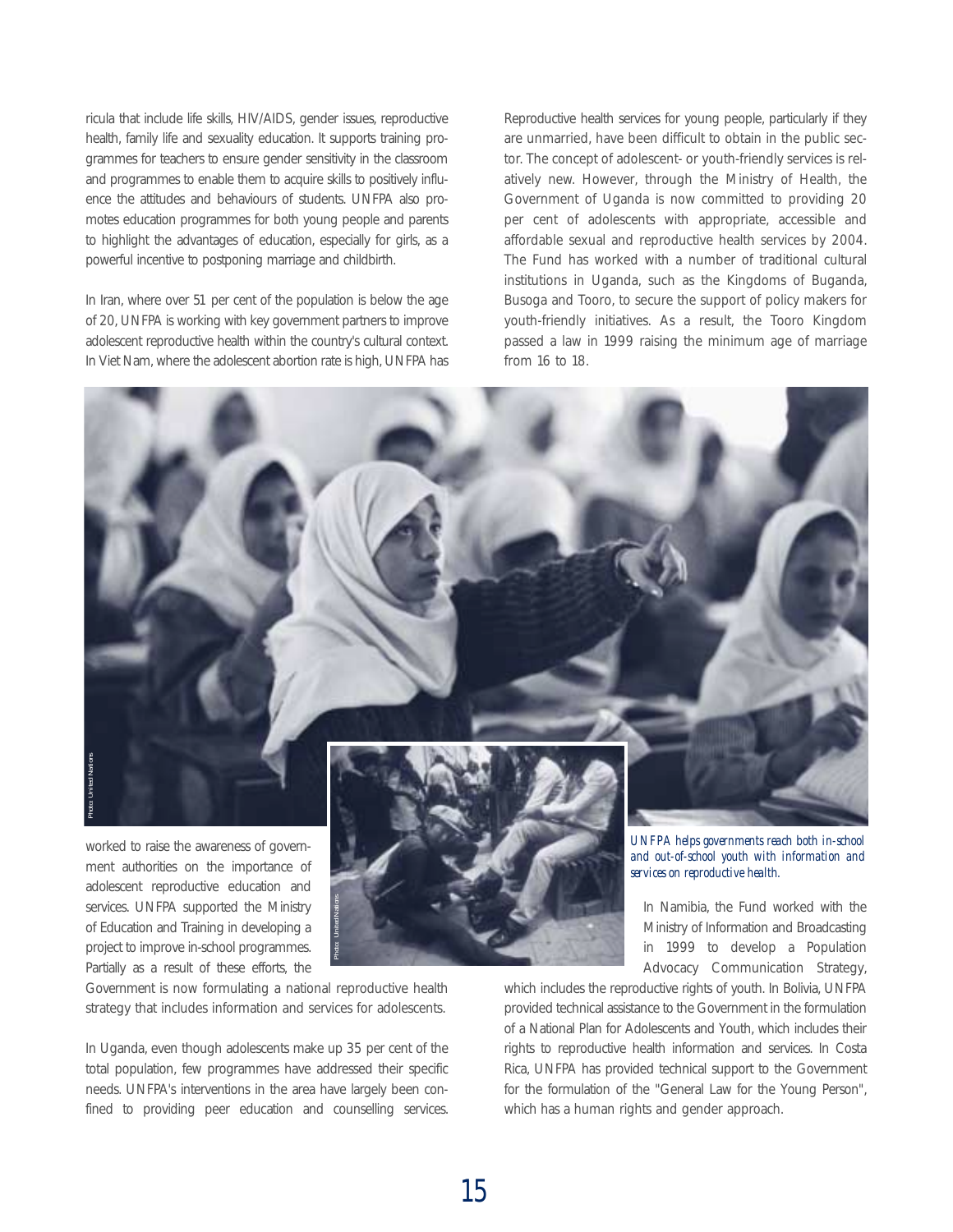ricula that include life skills, HIV/AIDS, gender issues, reproductive health, family life and sexuality education. It supports training programmes for teachers to ensure gender sensitivity in the classroom and programmes to enable them to acquire skills to positively influence the attitudes and behaviours of students. UNFPA also promotes education programmes for both young people and parents to highlight the advantages of education, especially for girls, as a powerful incentive to postponing marriage and childbirth.

In Iran, where over 51 per cent of the population is below the age of 20, UNFPA is working with key government partners to improve adolescent reproductive health within the country's cultural context. In Viet Nam, where the adolescent abortion rate is high, UNFPA has Reproductive health services for young people, particularly if they are unmarried, have been difficult to obtain in the public sector. The concept of adolescent- or youth-friendly services is relatively new. However, through the Ministry of Health, the Government of Uganda is now committed to providing 20 per cent of adolescents with appropriate, accessible and affordable sexual and reproductive health services by 2004. The Fund has worked with a number of traditional cultural institutions in Uganda, such as the Kingdoms of Buganda, Busoga and Tooro, to secure the support of policy makers for youth-friendly initiatives. As a result, the Tooro Kingdom passed a law in 1999 raising the minimum age of marriage from 16 to 18.



ment authorities on the importance of adolescent reproductive education and services. UNFPA supported the Ministry of Education and Training in developing a project to improve in-school programmes. Partially as a result of these efforts, the

*Photo: United Nations*



Government is now formulating a national reproductive health strategy that includes information and services for adolescents.

In Uganda, even though adolescents make up 35 per cent of the total population, few programmes have addressed their specific needs. UNFPA's interventions in the area have largely been confined to providing peer education and counselling services.

*and out-of-school youth with information and services on reproductive health.*

In Namibia, the Fund worked with the Ministry of Information and Broadcasting in 1999 to develop a Population Advocacy Communication Strategy,

which includes the reproductive rights of youth. In Bolivia, UNFPA provided technical assistance to the Government in the formulation of a National Plan for Adolescents and Youth, which includes their rights to reproductive health information and services. In Costa Rica, UNFPA has provided technical support to the Government for the formulation of the "General Law for the Young Person", which has a human rights and gender approach.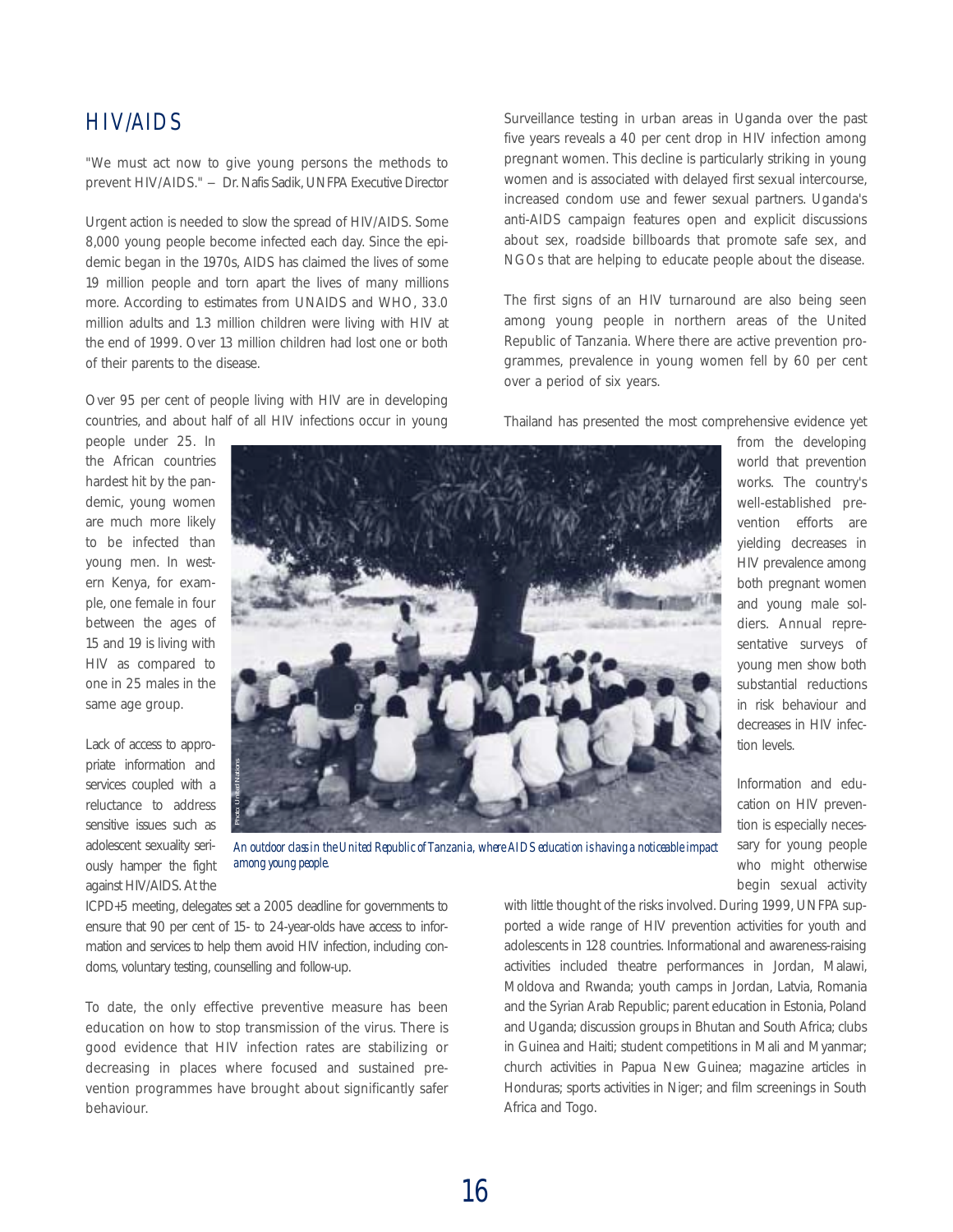## *HIV/AIDS*

"We must act now to give young persons the methods to prevent HIV/AIDS." – Dr. Nafis Sadik, UNFPA Executive Director

Urgent action is needed to slow the spread of HIV/AIDS. Some 8,000 young people become infected each day. Since the epidemic began in the 1970s, AIDS has claimed the lives of some 19 million people and torn apart the lives of many millions more. According to estimates from UNAIDS and WHO, 33.0 million adults and 1.3 million children were living with HIV at the end of 1999. Over 13 million children had lost one or both of their parents to the disease.

Over 95 per cent of people living with HIV are in developing countries, and about half of all HIV infections occur in young

people under 25. In the African countries hardest hit by the pandemic, young women are much more likely to be infected than young men. In western Kenya, for example, one female in four between the ages of 15 and 19 is living with HIV as compared to one in 25 males in the same age group.

Lack of access to appropriate information and services coupled with a reluctance to address sensitive issues such as adolescent sexuality seriously hamper the fight against HIV/AIDS. At the



*An outdoor class in the United Republic of Tanzania, where AIDS education is having a noticeable impact*

ICPD+5 meeting, delegates set a 2005 deadline for governments to ensure that 90 per cent of 15- to 24-year-olds have access to information and services to help them avoid HIV infection, including condoms, voluntary testing, counselling and follow-up.

To date, the only effective preventive measure has been education on how to stop transmission of the virus. There is good evidence that HIV infection rates are stabilizing or decreasing in places where focused and sustained prevention programmes have brought about significantly safer behaviour.

Surveillance testing in urban areas in Uganda over the past five years reveals a 40 per cent drop in HIV infection among pregnant women. This decline is particularly striking in young women and is associated with delayed first sexual intercourse, increased condom use and fewer sexual partners. Uganda's anti-AIDS campaign features open and explicit discussions about sex, roadside billboards that promote safe sex, and NGOs that are helping to educate people about the disease.

The first signs of an HIV turnaround are also being seen among young people in northern areas of the United Republic of Tanzania. Where there are active prevention programmes, prevalence in young women fell by 60 per cent over a period of six years.

Thailand has presented the most comprehensive evidence yet

from the developing world that prevention works. The country's well-established prevention efforts are yielding decreases in HIV prevalence among both pregnant women and young male soldiers. Annual representative surveys of young men show both substantial reductions in risk behaviour and decreases in HIV infection levels.

Information and education on HIV prevention is especially necessary for young people who might otherwise begin sexual activity

with little thought of the risks involved. During 1999, UNFPA supported a wide range of HIV prevention activities for youth and adolescents in 128 countries. Informational and awareness-raising activities included theatre performances in Jordan, Malawi, Moldova and Rwanda; youth camps in Jordan, Latvia, Romania and the Syrian Arab Republic; parent education in Estonia, Poland and Uganda; discussion groups in Bhutan and South Africa; clubs in Guinea and Haiti; student competitions in Mali and Myanmar; church activities in Papua New Guinea; magazine articles in Honduras; sports activities in Niger; and film screenings in South Africa and Togo.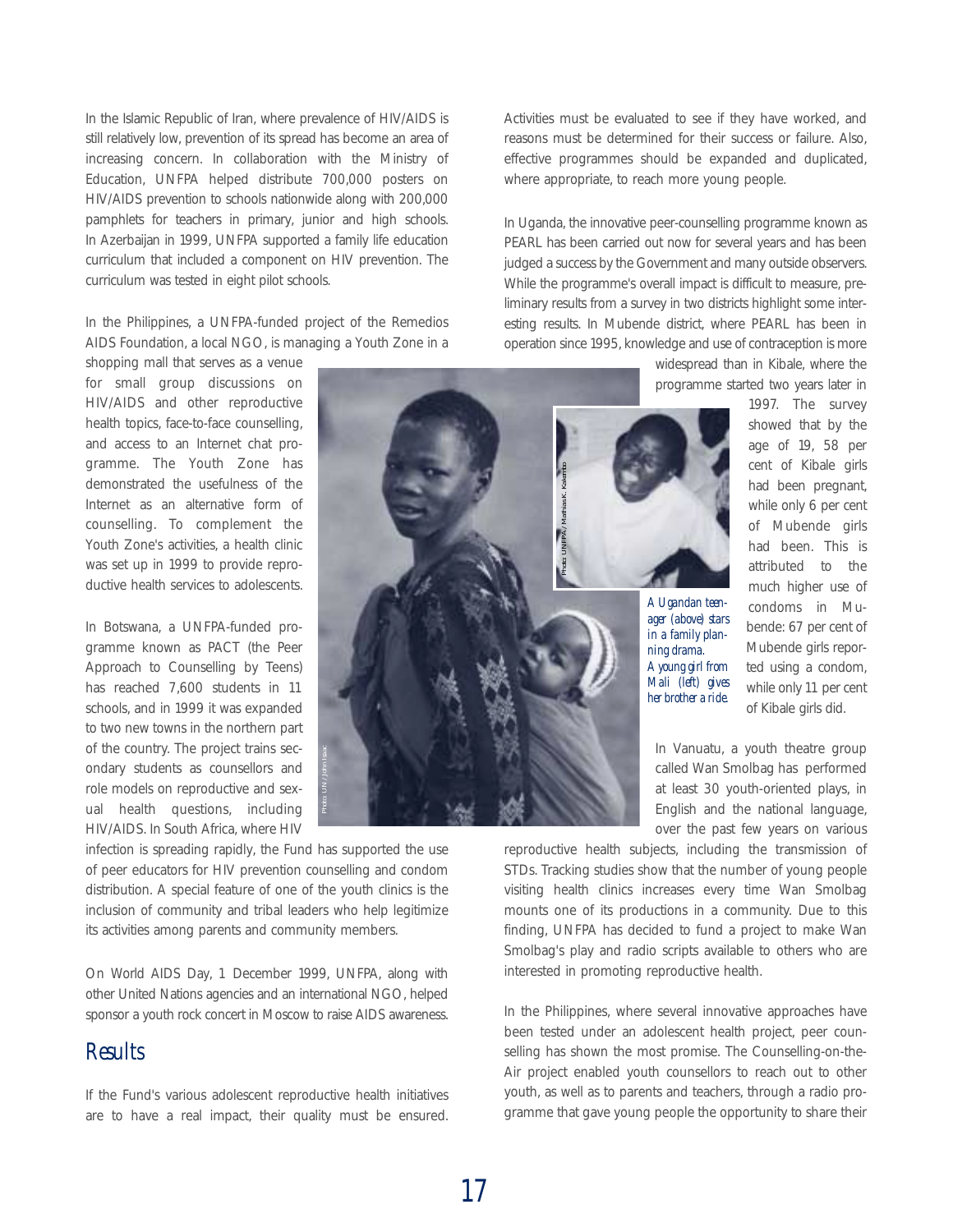In the Islamic Republic of Iran, where prevalence of HIV/AIDS is still relatively low, prevention of its spread has become an area of increasing concern. In collaboration with the Ministry of Education, UNFPA helped distribute 700,000 posters on HIV/AIDS prevention to schools nationwide along with 200,000 pamphlets for teachers in primary, junior and high schools. In Azerbaijan in 1999, UNFPA supported a family life education curriculum that included a component on HIV prevention. The curriculum was tested in eight pilot schools.

In the Philippines, a UNFPA-funded project of the Remedios AIDS Foundation, a local NGO, is managing a Youth Zone in a

shopping mall that serves as a venue for small group discussions on HIV/AIDS and other reproductive health topics, face-to-face counselling, and access to an Internet chat programme. The Youth Zone has demonstrated the usefulness of the Internet as an alternative form of counselling. To complement the Youth Zone's activities, a health clinic was set up in 1999 to provide reproductive health services to adolescents.

In Botswana, a UNFPA-funded programme known as PACT (the Peer Approach to Counselling by Teens) has reached 7,600 students in 11 schools, and in 1999 it was expanded to two new towns in the northern part of the country. The project trains secondary students as counsellors and role models on reproductive and sexual health questions, including HIV/AIDS. In South Africa, where HIV

infection is spreading rapidly, the Fund has supported the use of peer educators for HIV prevention counselling and condom distribution. A special feature of one of the youth clinics is the inclusion of community and tribal leaders who help legitimize its activities among parents and community members.

On World AIDS Day, 1 December 1999, UNFPA, along with other United Nations agencies and an international NGO, helped sponsor a youth rock concert in Moscow to raise AIDS awareness.

#### *Results*

If the Fund's various adolescent reproductive health initiatives are to have a real impact, their quality must be ensured.

Activities must be evaluated to see if they have worked, and reasons must be determined for their success or failure. Also, effective programmes should be expanded and duplicated, where appropriate, to reach more young people.

In Uganda, the innovative peer-counselling programme known as PEARL has been carried out now for several years and has been judged a success by the Government and many outside observers. While the programme's overall impact is difficult to measure, preliminary results from a survey in two districts highlight some interesting results. In Mubende district, where PEARL has been in operation since 1995, knowledge and use of contraception is more

> widespread than in Kibale, where the programme started two years later in 1997. The survey

> > showed that by the age of 19, 58 per cent of Kibale girls had been pregnant, while only 6 per cent of Mubende girls had been. This is attributed to the much higher use of condoms in Mubende: 67 per cent of Mubende girls reported using a condom, while only 11 per cent of Kibale girls did.

In Vanuatu, a youth theatre group called Wan Smolbag has performed at least 30 youth-oriented plays, in English and the national language, over the past few years on various

reproductive health subjects, including the transmission of STDs. Tracking studies show that the number of young people visiting health clinics increases every time Wan Smolbag mounts one of its productions in a community. Due to this finding, UNFPA has decided to fund a project to make Wan Smolbag's play and radio scripts available to others who are interested in promoting reproductive health.

In the Philippines, where several innovative approaches have been tested under an adolescent health project, peer counselling has shown the most promise. The Counselling-on-the-Air project enabled youth counsellors to reach out to other youth, as well as to parents and teachers, through a radio programme that gave young people the opportunity to share their

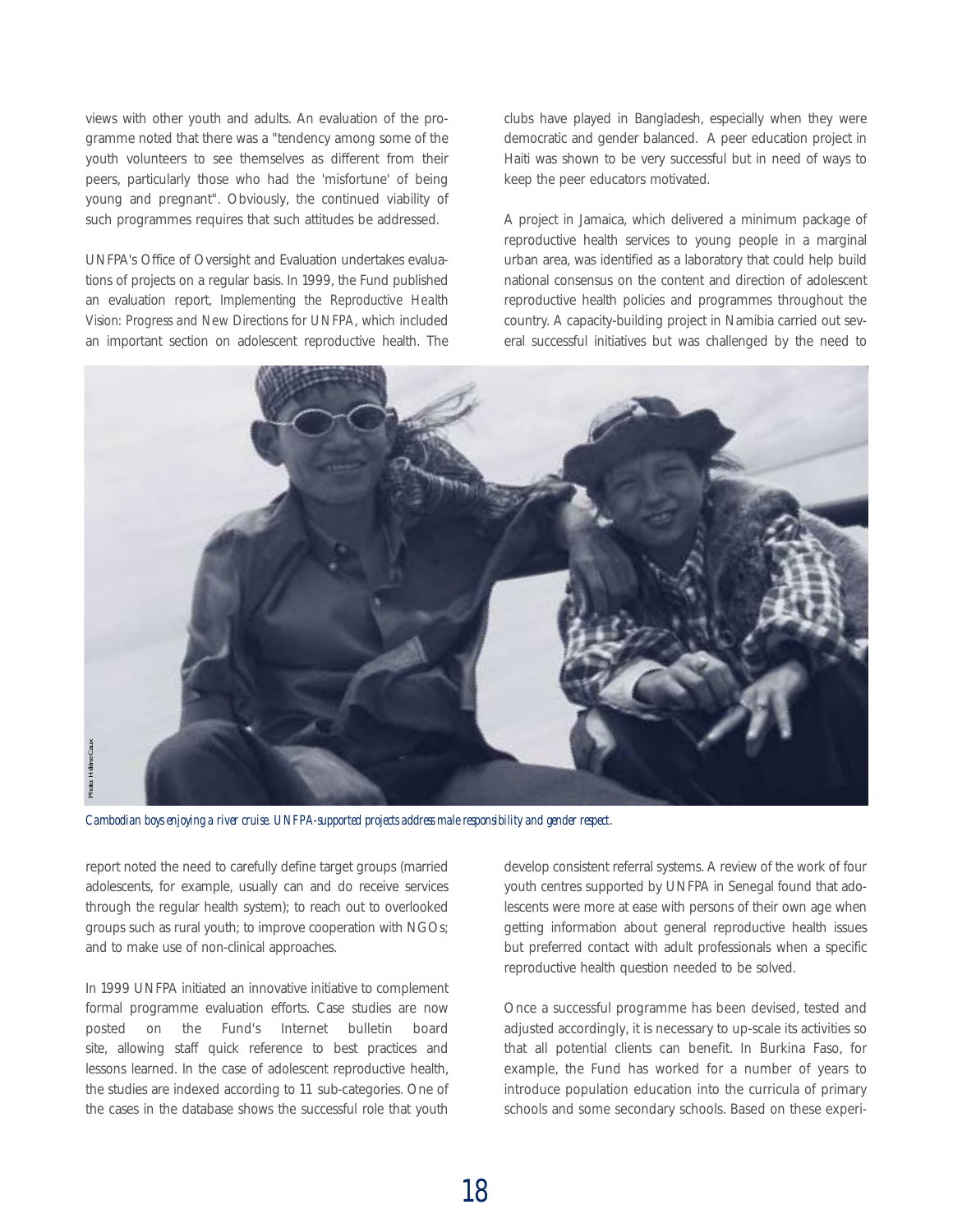views with other youth and adults. An evaluation of the programme noted that there was a "tendency among some of the youth volunteers to see themselves as different from their peers, particularly those who had the 'misfortune' of being young and pregnant". Obviously, the continued viability of such programmes requires that such attitudes be addressed.

UNFPA's Office of Oversight and Evaluation undertakes evaluations of projects on a regular basis. In 1999, the Fund published an evaluation report, *Implementing the Reproductive Health Vision: Progress and New Directions for UNFPA*, which included an important section on adolescent reproductive health. The clubs have played in Bangladesh, especially when they were democratic and gender balanced. A peer education project in Haiti was shown to be very successful but in need of ways to keep the peer educators motivated.

A project in Jamaica, which delivered a minimum package of reproductive health services to young people in a marginal urban area, was identified as a laboratory that could help build national consensus on the content and direction of adolescent reproductive health policies and programmes throughout the country. A capacity-building project in Namibia carried out several successful initiatives but was challenged by the need to



*Cambodian boys enjoying a river cruise. UNFPA-supported projects address male responsibility and gender respect.*

report noted the need to carefully define target groups (married adolescents, for example, usually can and do receive services through the regular health system); to reach out to overlooked groups such as rural youth; to improve cooperation with NGOs; and to make use of non-clinical approaches.

In 1999 UNFPA initiated an innovative initiative to complement formal programme evaluation efforts. Case studies are now posted on the Fund's Internet bulletin board site, allowing staff quick reference to best practices and lessons learned. In the case of adolescent reproductive health, the studies are indexed according to 11 sub-categories. One of the cases in the database shows the successful role that youth develop consistent referral systems. A review of the work of four youth centres supported by UNFPA in Senegal found that adolescents were more at ease with persons of their own age when getting information about general reproductive health issues but preferred contact with adult professionals when a specific reproductive health question needed to be solved.

Once a successful programme has been devised, tested and adjusted accordingly, it is necessary to up-scale its activities so that all potential clients can benefit. In Burkina Faso, for example, the Fund has worked for a number of years to introduce population education into the curricula of primary schools and some secondary schools. Based on these experi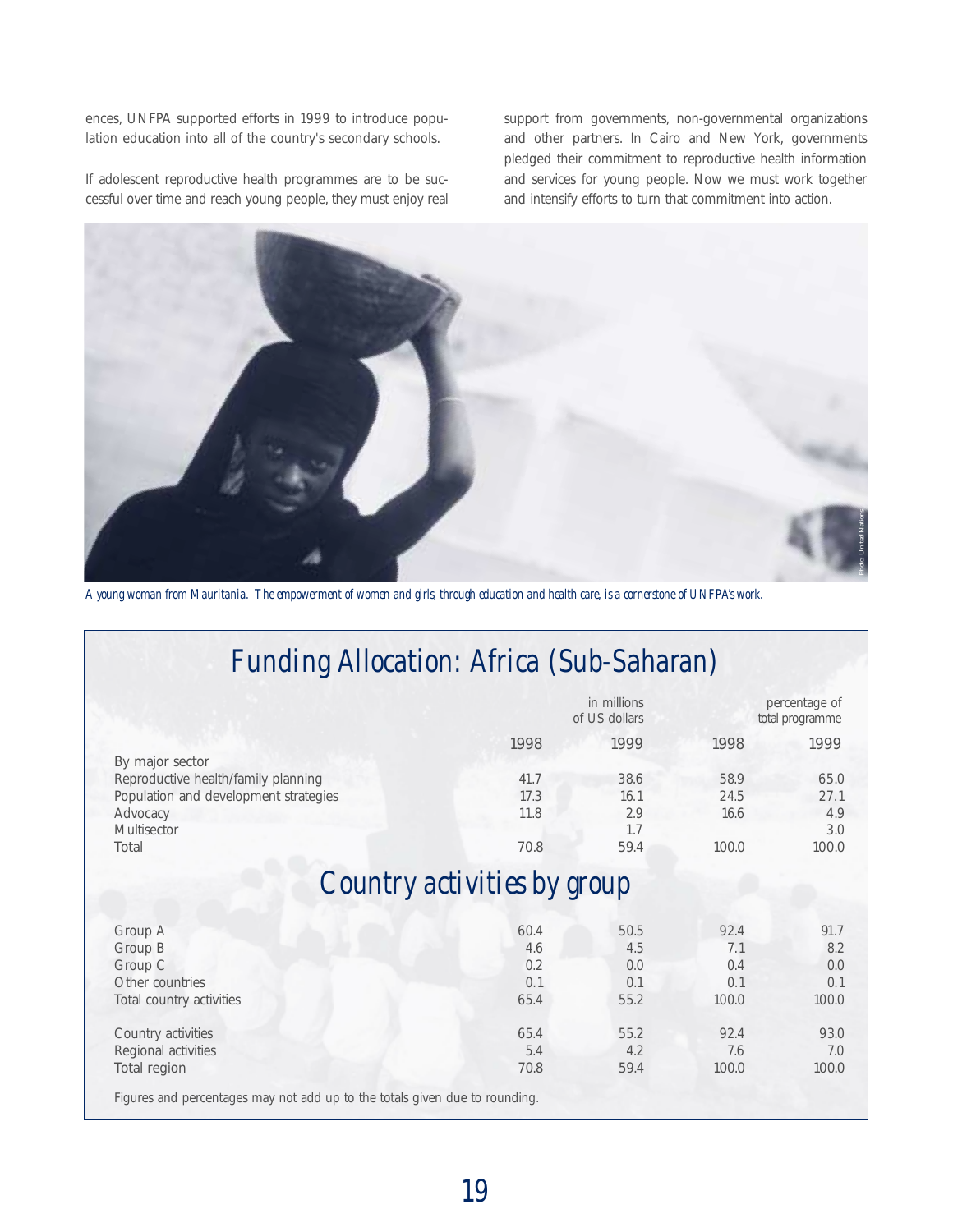ences, UNFPA supported efforts in 1999 to introduce population education into all of the country's secondary schools.

If adolescent reproductive health programmes are to be successful over time and reach young people, they must enjoy real

support from governments, non-governmental organizations and other partners. In Cairo and New York, governments pledged their commitment to reproductive health information and services for young people. Now we must work together and intensify efforts to turn that commitment into action.



*A young woman from Mauritania. The empowerment of women and girls, through education and health care, is a cornerstone of UNFPA's work.*

# *Funding Allocation: Africa (Sub-Saharan)*

|                                                                             |      | in millions<br>of US dollars |       | percentage of<br>total programme |
|-----------------------------------------------------------------------------|------|------------------------------|-------|----------------------------------|
|                                                                             | 1998 | 1999                         | 1998  | 1999                             |
| By major sector                                                             |      |                              |       |                                  |
| Reproductive health/family planning                                         | 41.7 | 38.6                         | 58.9  | 65.0                             |
| Population and development strategies                                       | 17.3 | 16.1                         | 24.5  | 27.1                             |
| Advocacy                                                                    | 11.8 | 2.9                          | 16.6  | 4.9                              |
| <b>Multisector</b>                                                          |      | 1.7                          |       | 3.0                              |
| Total                                                                       | 70.8 | 59.4                         | 100.0 | 100.0                            |
| Group A                                                                     | 60.4 | 50.5                         | 92.4  | 91.7                             |
| Group B                                                                     | 4.6  | 4.5                          | 7.1   | 8.2                              |
| Group C                                                                     | 0.2  | 0.0                          | 0.4   | 0.0                              |
| Other countries                                                             | 0.1  | 0.1                          | 0.1   | 0.1                              |
| Total country activities                                                    | 65.4 | 55.2                         | 100.0 | 100.0                            |
| Country activities                                                          | 65.4 | 55.2                         | 92.4  | 93.0                             |
| Regional activities                                                         | 5.4  | 4.2                          | 7.6   | 7.0                              |
| Total region                                                                | 70.8 | 59.4                         | 100.0 | 100.0                            |
| Figures and percentages may not add up to the totals given due to rounding. |      |                              |       |                                  |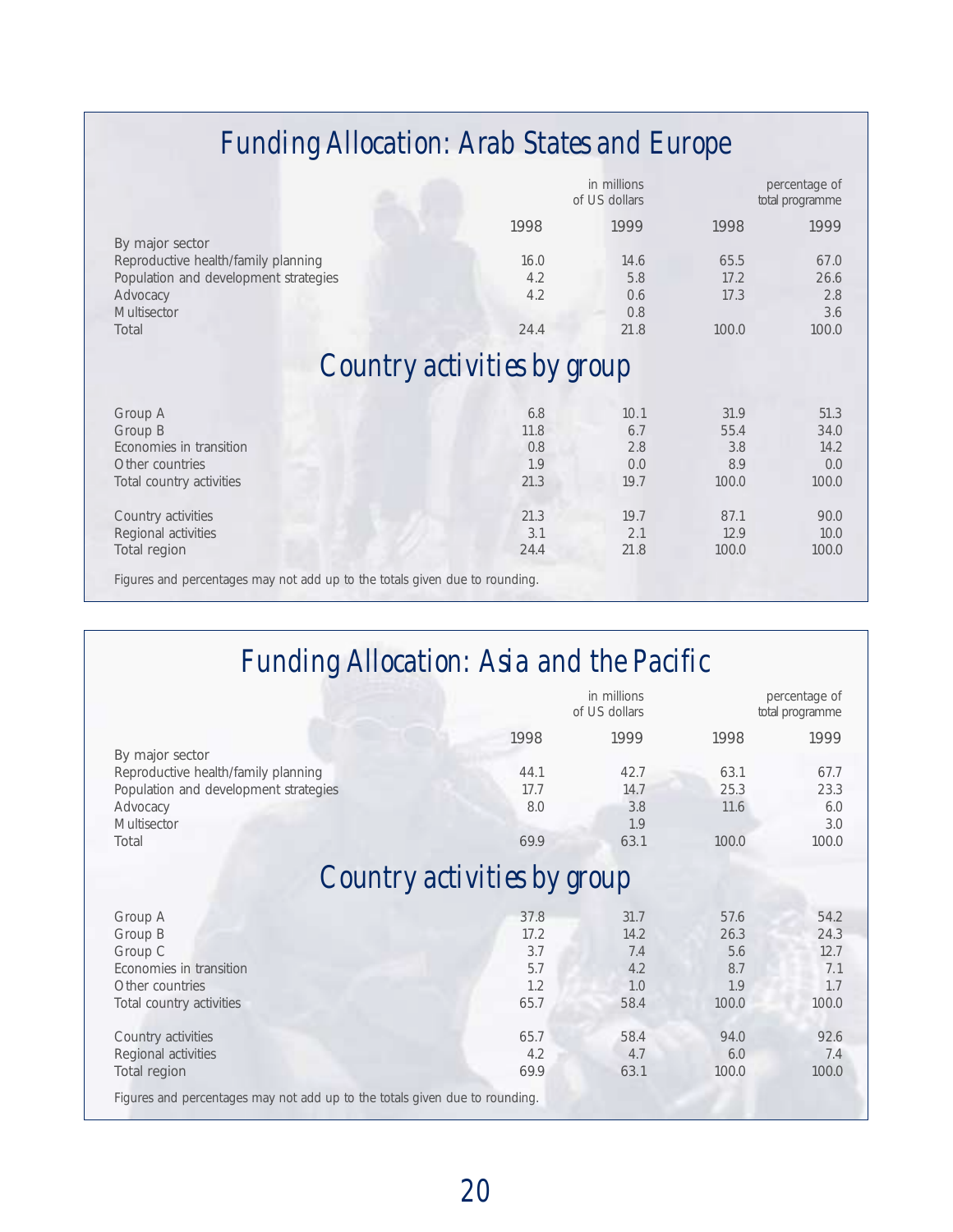# *Funding Allocation: Arab States and Europe*

|                                                                             |      | in millions<br>of US dollars |       | percentage of<br>total programme |
|-----------------------------------------------------------------------------|------|------------------------------|-------|----------------------------------|
|                                                                             | 1998 | 1999                         | 1998  | 1999                             |
| By major sector                                                             |      |                              |       |                                  |
| Reproductive health/family planning                                         | 16.0 | 14.6                         | 65.5  | 67.0                             |
| Population and development strategies                                       | 4.2  | 5.8                          | 17.2  | 26.6                             |
| Advocacy                                                                    | 4.2  | 0.6                          | 17.3  | 2.8                              |
| <b>Multisector</b>                                                          |      | 0.8                          |       | 3.6                              |
| Total                                                                       | 24.4 | 21.8                         | 100.0 | 100.0                            |
| Country activities by group                                                 |      |                              |       |                                  |
| Group A                                                                     | 6.8  | 10.1                         | 31.9  | 51.3                             |
| Group B                                                                     | 11.8 | 6.7                          | 55.4  | 34.0                             |
| Economies in transition                                                     | 0.8  | 2.8                          | 3.8   | 14.2                             |
| Other countries                                                             | 1.9  | 0.0                          | 8.9   | 0.0                              |
| Total country activities                                                    | 21.3 | 19.7                         | 100.0 | 100.0                            |
| Country activities                                                          | 21.3 | 19.7                         | 87.1  | 90.0                             |
| Regional activities                                                         | 3.1  | 2.1                          | 12.9  | 10.0                             |
| <b>Total region</b>                                                         | 24.4 | 21.8                         | 100.0 | 100.0                            |
| Figures and percentages may not add up to the totals given due to rounding. |      |                              |       |                                  |

# *Funding Allocation: Asia and the Pacific*

|                                                                             |      | in millions<br>of US dollars |       | percentage of<br>total programme |
|-----------------------------------------------------------------------------|------|------------------------------|-------|----------------------------------|
|                                                                             | 1998 | 1999                         | 1998  | 1999                             |
| By major sector                                                             |      |                              |       |                                  |
| Reproductive health/family planning                                         | 44.1 | 42.7                         | 63.1  | 67.7                             |
| Population and development strategies                                       | 17.7 | 14.7                         | 25.3  | 23.3                             |
| Advocacy                                                                    | 8.0  | 3.8                          | 11.6  | 6.0                              |
| Multisector                                                                 |      | 1.9                          |       | 3.0                              |
| Total                                                                       | 69.9 | 63.1                         | 100.0 | 100.0                            |
| Country activities by group                                                 |      |                              |       |                                  |
| Group A                                                                     | 37.8 | 31.7                         | 57.6  | 54.2                             |
| Group B                                                                     | 17.2 | 14.2                         | 26.3  | 24.3                             |
| Group C                                                                     | 3.7  | 7.4                          | 5.6   | 12.7                             |
| Economies in transition                                                     | 5.7  | 4.2                          | 8.7   | 7.1                              |
| Other countries                                                             | 1.2  | 1.0                          | 1.9   | 1.7                              |
| Total country activities                                                    | 65.7 | 58.4                         | 100.0 | 100.0                            |
| Country activities                                                          | 65.7 | 58.4                         | 94.0  | 92.6                             |
| Regional activities                                                         | 4.2  | 4.7                          | 6.0   | 7.4                              |
| <b>Total region</b>                                                         | 69.9 | 63.1                         | 100.0 | 100.0                            |
| Figures and percentages may not add up to the totals given due to rounding. |      |                              |       |                                  |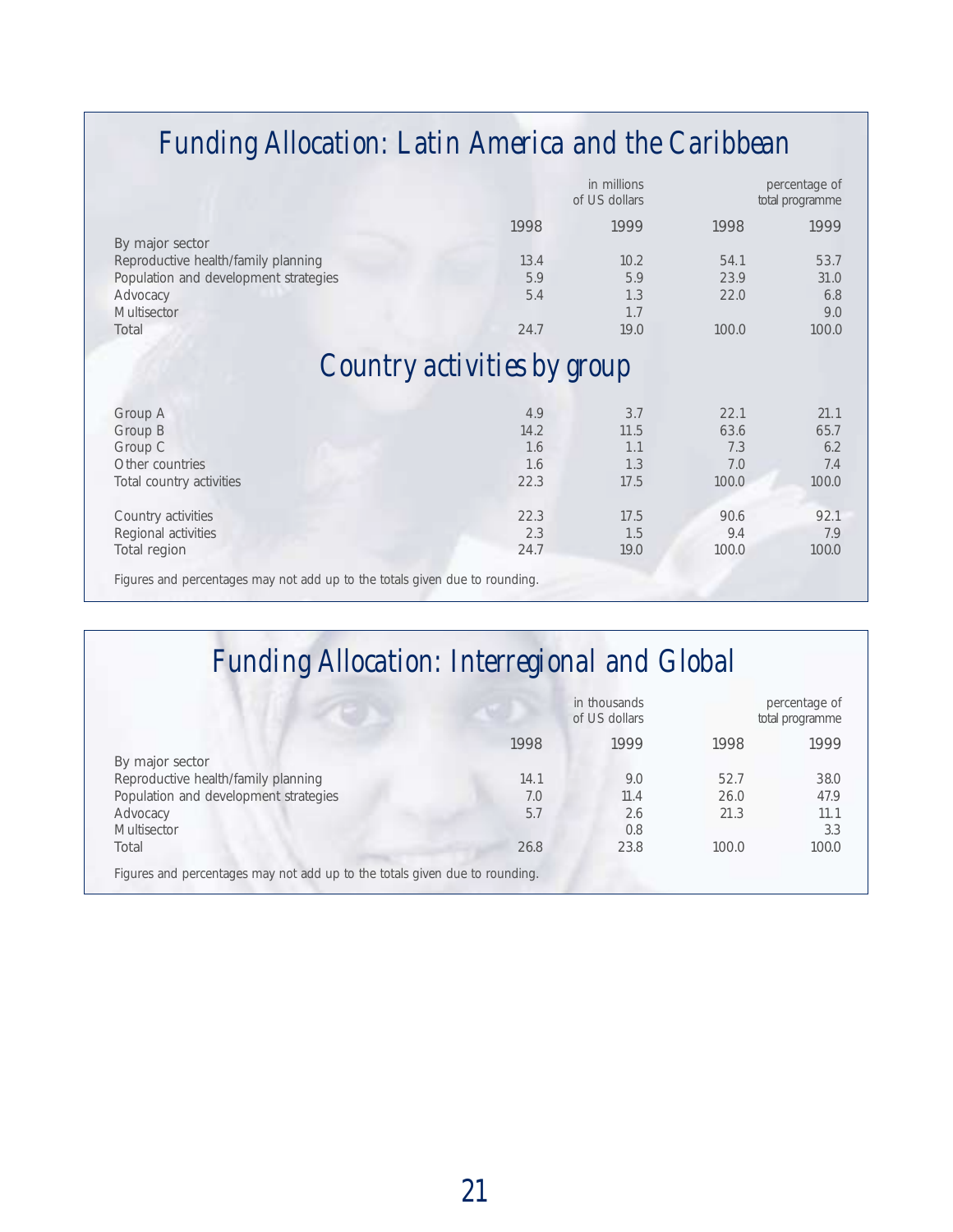# *Funding Allocation: Latin America and the Caribbean*

|                                                                             |      | in millions<br>of US dollars |       | percentage of<br>total programme |
|-----------------------------------------------------------------------------|------|------------------------------|-------|----------------------------------|
|                                                                             | 1998 | 1999                         | 1998  | 1999                             |
| By major sector                                                             |      |                              |       |                                  |
| Reproductive health/family planning                                         | 13.4 | 10.2                         | 54.1  | 53.7                             |
| Population and development strategies                                       | 5.9  | 5.9                          | 23.9  | 31.0                             |
| Advocacy                                                                    | 5.4  | 1.3                          | 22.0  | 6.8                              |
| Multisector                                                                 |      | 1.7                          |       | 9.0                              |
| Total                                                                       | 24.7 | 19.0                         | 100.0 | 100.0                            |
| Country activities by group                                                 |      |                              |       |                                  |
| Group A                                                                     | 4.9  | 3.7                          | 22.1  | 21.1                             |
| Group B                                                                     | 14.2 | 11.5                         | 63.6  | 65.7                             |
| Group C                                                                     | 1.6  | 1.1                          | 7.3   | 6.2                              |
| Other countries                                                             | 1.6  | 1.3                          | 7.0   | 7.4                              |
| Total country activities                                                    | 22.3 | 17.5                         | 100.0 | 100.0                            |
| Country activities                                                          | 22.3 | 17.5                         | 90.6  | 92.1                             |
| Regional activities                                                         | 2.3  | 1.5                          | 9.4   | 7.9                              |
| Total region                                                                | 24.7 | 19.0                         | 100.0 | 100.0                            |
| Figures and percentages may not add up to the totals given due to rounding. |      |                              |       |                                  |

# *Funding Allocation: Interregional and Global*

|                                                                             |      | in thousands<br>of US dollars |       | percentage of<br>total programme |
|-----------------------------------------------------------------------------|------|-------------------------------|-------|----------------------------------|
|                                                                             | 1998 | 1999                          | 1998  | 1999                             |
| By major sector                                                             |      |                               |       |                                  |
| Reproductive health/family planning                                         | 14.1 | 9.0                           | 52.7  | 38.0                             |
| Population and development strategies                                       | 7.0  | 11.4                          | 26.0  | 47.9                             |
| Advocacy                                                                    | 5.7  | 2.6                           | 21.3  | 11.1                             |
| <b>Multisector</b>                                                          |      | 0.8                           |       | 3.3                              |
| Total                                                                       | 26.8 | 23.8                          | 100.0 | 100.0                            |
| Figures and percentages may not add up to the totals given due to rounding. |      |                               |       |                                  |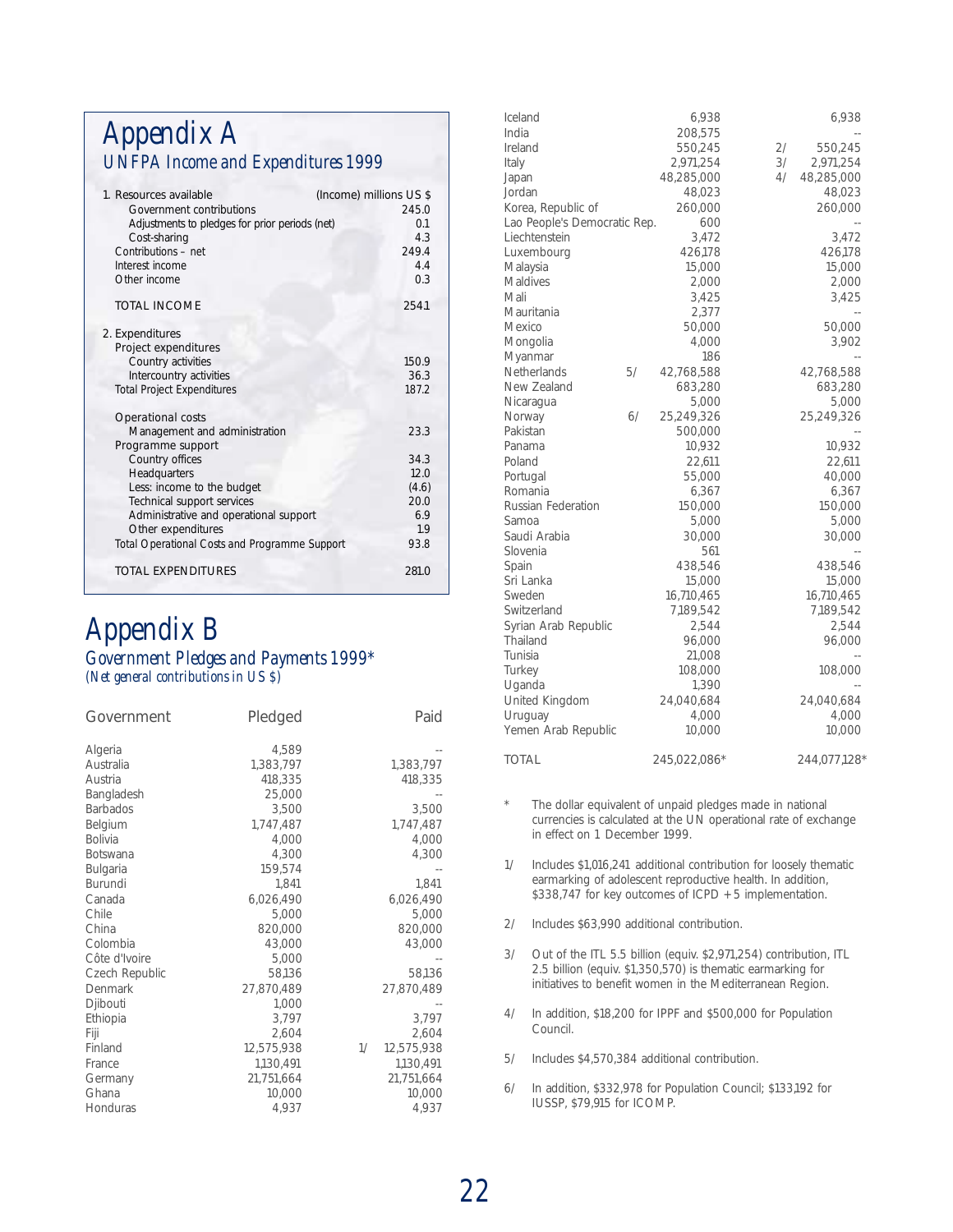## *Appendix A UNFPA Income and Expenditures 1999*

| 1. Resources available                         | (Income) millions US \$ |
|------------------------------------------------|-------------------------|
| Government contributions                       | 245.0                   |
| Adjustments to pledges for prior periods (net) | 0 <sub>1</sub>          |
| Cost-sharing                                   | 4.3                     |
| Contributions - net                            | 249.4                   |
| Interest income                                | 4.4                     |
| Other income                                   | 0.3                     |
| <b>TOTAL INCOME</b>                            | 254.1                   |
| 2. Expenditures                                |                         |
| Project expenditures                           |                         |
| Country activities                             | 150.9                   |
| Intercountry activities                        | 36.3                    |
| <b>Total Project Expenditures</b>              | 187.2                   |
| <b>Operational costs</b>                       |                         |
| Management and administration                  | 23.3                    |
| Programme support                              |                         |
| Country offices                                | 34.3                    |
| Headquarters                                   | 12.0                    |
| Less: income to the budget                     | (4.6)                   |
| Technical support services                     | 20.0                    |
| Administrative and operational support         | 6.9                     |
| Other expenditures                             | 19                      |
| Total Operational Costs and Programme Support  | 93.8                    |
| TOTAL EXPENDITURES                             | 281.0                   |

## *Appendix B Government Pledges and Payments 1999\* (Net general contributions in US \$)*

| Government                                                                                                                                                                                                                                                               | Pledged                                                                                                                                                                                                                  | Paid                                                                                                                                                                           |
|--------------------------------------------------------------------------------------------------------------------------------------------------------------------------------------------------------------------------------------------------------------------------|--------------------------------------------------------------------------------------------------------------------------------------------------------------------------------------------------------------------------|--------------------------------------------------------------------------------------------------------------------------------------------------------------------------------|
| Algeria<br>Australia<br>Austria<br>Bangladesh<br><b>Barbados</b><br>Belgium<br><b>Bolivia</b><br><b>Botswana</b><br>Bulgaria<br>Burundi<br>Canada<br>Chile<br>China<br>Colombia<br>Côte d'Ivoire<br>Czech Republic<br>Denmark<br>Djibouti<br>Ethiopia<br>Fiji<br>Finland | 4,589<br>1,383,797<br>418,335<br>25,000<br>3,500<br>1.747.487<br>4,000<br>4,300<br>159.574<br>1.841<br>6,026,490<br>5,000<br>820,000<br>43,000<br>5,000<br>58.136<br>27,870,489<br>1,000<br>3.797<br>2.604<br>12,575,938 | 1,383,797<br>418,335<br>3,500<br>1,747,487<br>4,000<br>4,300<br>1.841<br>6,026,490<br>5,000<br>820,000<br>43,000<br>58,136<br>27,870,489<br>3,797<br>2,604<br>1/<br>12,575,938 |
| France<br>Germany<br>Ghana<br>Honduras                                                                                                                                                                                                                                   | 1,130,491<br>21,751,664<br>10,000<br>4,937                                                                                                                                                                               | 1,130,491<br>21,751,664<br>10,000<br>4,937                                                                                                                                     |
|                                                                                                                                                                                                                                                                          |                                                                                                                                                                                                                          |                                                                                                                                                                                |

| Iceland<br>India             |    | 6,938<br>208,575 |    | 6,938        |
|------------------------------|----|------------------|----|--------------|
| Ireland                      |    | 550,245          | 2/ | 550,245      |
| Italy                        |    | 2,971,254        | 3/ | 2,971,254    |
|                              |    |                  | 4/ |              |
| Japan                        |    | 48,285,000       |    | 48,285,000   |
| Jordan                       |    | 48,023           |    | 48,023       |
| Korea, Republic of           |    | 260,000          |    | 260,000      |
| Lao People's Democratic Rep. |    | 600              |    |              |
| Liechtenstein                |    | 3,472            |    | 3,472        |
| Luxembourg                   |    | 426,178          |    | 426,178      |
| Malaysia                     |    | 15,000           |    | 15,000       |
| Maldives                     |    | 2,000            |    | 2,000        |
| Mali                         |    | 3,425            |    | 3,425        |
| Mauritania                   |    | 2,377            |    |              |
| Mexico                       |    | 50,000           |    | 50,000       |
| Mongolia                     |    | 4,000            |    | 3,902        |
| Myanmar                      |    | 186              |    |              |
| Netherlands                  | 5/ | 42,768,588       |    | 42,768,588   |
| New Zealand                  |    | 683,280          |    | 683,280      |
| Nicaragua                    |    | 5,000            |    | 5,000        |
| Norway                       | 6/ | 25,249,326       |    | 25,249,326   |
| Pakistan                     |    | 500,000          |    |              |
| Panama                       |    | 10,932           |    | 10,932       |
| Poland                       |    | 22,611           |    | 22,611       |
| Portugal                     |    | 55,000           |    | 40,000       |
| Romania                      |    | 6,367            |    | 6,367        |
| Russian Federation           |    | 150,000          |    | 150,000      |
| Samoa                        |    | 5,000            |    | 5,000        |
| Saudi Arabia                 |    | 30,000           |    | 30,000       |
| Slovenia                     |    | 561              |    |              |
| Spain                        |    | 438,546          |    | 438,546      |
| Sri Lanka                    |    | 15,000           |    | 15,000       |
| Sweden                       |    | 16,710,465       |    | 16,710,465   |
| Switzerland                  |    | 7,189,542        |    | 7,189,542    |
| Syrian Arab Republic         |    | 2,544            |    | 2,544        |
| Thailand                     |    | 96,000           |    | 96,000       |
| Tunisia                      |    | 21,008           |    |              |
| Turkey                       |    | 108,000          |    | 108,000      |
| Uganda                       |    | 1,390            |    |              |
| United Kingdom               |    | 24,040,684       |    | 24,040,684   |
| Uruguay                      |    | 4,000            |    | 4,000        |
| Yemen Arab Republic          |    | 10,000           |    | 10,000       |
| TOTAL                        |    | 245,022,086*     |    | 244,077,128* |

\* The dollar equivalent of unpaid pledges made in national currencies is calculated at the UN operational rate of exchange in effect on 1 December 1999.

1/ Includes \$1,016,241 additional contribution for loosely thematic earmarking of adolescent reproductive health. In addition, \$338,747 for key outcomes of ICPD + 5 implementation.

- 2/ Includes \$63,990 additional contribution.
- 3/ Out of the ITL 5.5 billion (equiv. \$2,971,254) contribution, ITL 2.5 billion (equiv. \$1,350,570) is thematic earmarking for initiatives to benefit women in the Mediterranean Region.
- 4/ In addition, \$18,200 for IPPF and \$500,000 for Population Council.
- 5/ Includes \$4,570,384 additional contribution.
- 6/ In addition, \$332,978 for Population Council; \$133,192 for IUSSP, \$79,915 for ICOMP.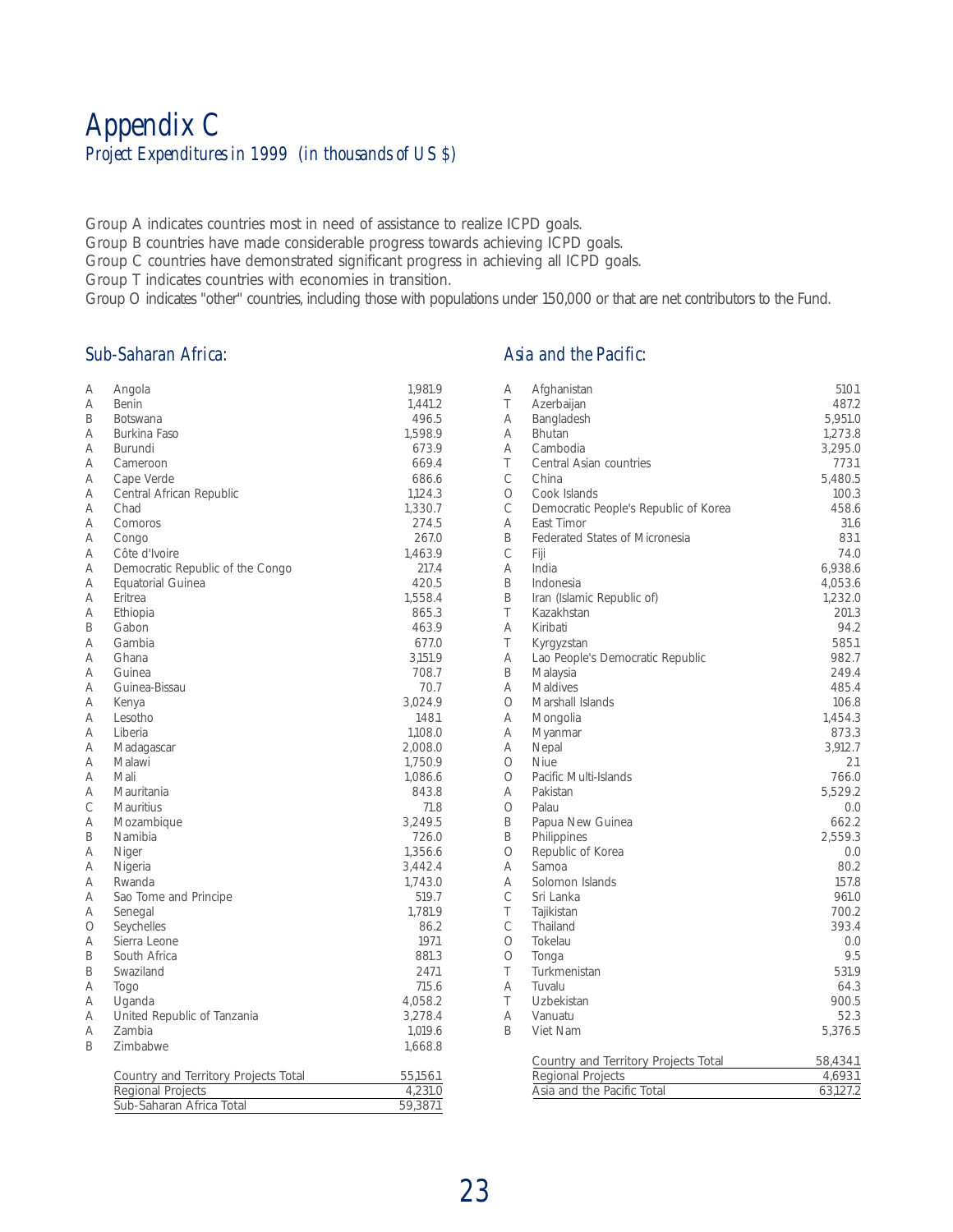## *Appendix C Project Expenditures in 1999 (in thousands of US \$)*

Group A indicates countries most in need of assistance to realize ICPD goals.

Group B countries have made considerable progress towards achieving ICPD goals.

Group C countries have demonstrated significant progress in achieving all ICPD goals.

Group T indicates countries with economies in transition.

Group O indicates "other" countries, including those with populations under 150,000 or that are net contributors to the Fund.

#### *Sub-Saharan Africa:*

### *Asia and the Pacific:*

| Α          | Angola                               | 1,981.9  |
|------------|--------------------------------------|----------|
| Α          | Benin                                | 1.441.2  |
| B          | <b>Botswana</b>                      | 496.5    |
| Α          | Burkina Faso                         | 1,598.9  |
| Α          | Burundi                              | 673.9    |
| Α          | Cameroon                             | 669.4    |
| Α          | Cape Verde                           | 686.6    |
|            |                                      |          |
| Α          | Central African Republic             | 1,124.3  |
| Α          | Chad                                 | 1,330.7  |
| Α          | Comoros                              | 274.5    |
| Α          | Congo                                | 267.0    |
| Α          | Côte d'Ivoire                        | 1,463.9  |
| Α          | Democratic Republic of the Congo     | 217.4    |
| Α          | Equatorial Guinea                    | 420.5    |
| Α          | Eritrea                              | 1,558.4  |
| Α          | Ethiopia                             | 865.3    |
| B          | Gabon                                | 463.9    |
| Α          | Gambia                               | 677.0    |
| Α          | Ghana                                | 3,151.9  |
| A          | Guinea                               | 708.7    |
| Α          | Guinea-Bissau                        | 70.7     |
| A          | Kenya                                | 3,024.9  |
| Α          | Lesotho                              | 148.1    |
| A          | Liberia                              | 1,108.0  |
| A          | Madagascar                           | 2,008.0  |
| Α          | Malawi                               |          |
| А          |                                      | 1,750.9  |
|            | Mali                                 | 1,086.6  |
| А          | Mauritania                           | 843.8    |
| Ċ          | <b>Mauritius</b>                     | 71.8     |
| А          | Mozambique                           | 3,249.5  |
| B          | Namibia                              | 726.0    |
| Α          | Niger                                | 1.356.6  |
| Α          | Nigeria                              | 3.442.4  |
| Α          | Rwanda                               | 1,743.0  |
| Α          | Sao Tome and Principe                | 519.7    |
| Α          | Senegal                              | 1.781.9  |
| $\bigcirc$ | Seychelles                           | 86.2     |
| Α          | Sierra Leone                         | 197.1    |
| B          | South Africa                         | 881.3    |
| B          | Swaziland                            | 247.1    |
| Α          | Togo                                 | 715.6    |
| Α          | Uganda                               | 4,058.2  |
| Α          | United Republic of Tanzania          | 3.278.4  |
| Α          | Zambia                               | 1,019.6  |
| B          | Zimbabwe                             |          |
|            |                                      | 1,668.8  |
|            | Country and Territory Projects Total | 55,156.1 |
|            | <b>Regional Projects</b>             | 4,231.0  |
|            | Sub-Saharan Africa Total             | 59,387.1 |
|            |                                      |          |

| Α            | Afghanistan                           | 510.1    |
|--------------|---------------------------------------|----------|
| T            | Azerbaijan                            | 487.2    |
| Α            | Bangladesh                            | 5,951.0  |
| А            | <b>Bhutan</b>                         | 1,273.8  |
| Α            | Cambodia                              | 3,295.0  |
| T            | Central Asian countries               | 773.1    |
| C            | China                                 | 5,480.5  |
| $\circ$      | Cook Islands                          | 100.3    |
| C            | Democratic People's Republic of Korea | 458.6    |
| Α            | East Timor                            | 31.6     |
| B            | <b>Federated States of Micronesia</b> | 83.1     |
| C            | Fiji                                  | 74.0     |
| Α            | India                                 | 6,938.6  |
| B            | Indonesia                             | 4,053.6  |
| B            | Iran (Islamic Republic of)            | 1,232.0  |
| T            | Kazakhstan                            | 201.3    |
| Α            | Kiribati                              | 94.2     |
| T            | Kyrgyzstan                            | 585.1    |
| A            | Lao People's Democratic Republic      | 982.7    |
| B            | Malaysia                              | 249.4    |
| Α            | <b>Maldives</b>                       | 485.4    |
| $\bigcirc$   | Marshall Islands                      | 106.8    |
| Α            | Mongolia                              | 1,454.3  |
| Α            | Myanmar                               | 873.3    |
| Α            | Nepal                                 | 3,912.7  |
| Ο            | <b>Niue</b>                           | 2.1      |
| $\bigcirc$   | Pacific Multi-Islands                 | 766.0    |
| Α            | Pakistan                              | 5,529.2  |
| $\circ$      | Palau                                 | 0.0      |
| B            | Papua New Guinea                      | 662.2    |
| B            | Philippines                           | 2,559.3  |
| О            | Republic of Korea                     | 0.0      |
| A            | Samoa                                 | 80.2     |
| Α            | Solomon Islands                       | 157.8    |
| C            | Sri Lanka                             | 961.0    |
| T            | Tajikistan                            | 700.2    |
| $\mathsf{C}$ | Thailand                              | 393.4    |
| $\circ$      | Tokelau                               | 0.0      |
| $\circ$      | Tonga                                 | 9.5      |
| Τ            | Turkmenistan                          | 531.9    |
| Α            | Tuvalu                                | 64.3     |
| T            | Uzbekistan                            | 900.5    |
| A            | Vanuatu                               | 52.3     |
| B            | Viet Nam                              | 5,376.5  |
|              |                                       |          |
|              | Country and Territory Projects Total  | 58,434.1 |
|              | Regional Projects                     | 4,693.1  |
|              | Asia and the Pacific Total            | 63,127.2 |
|              |                                       |          |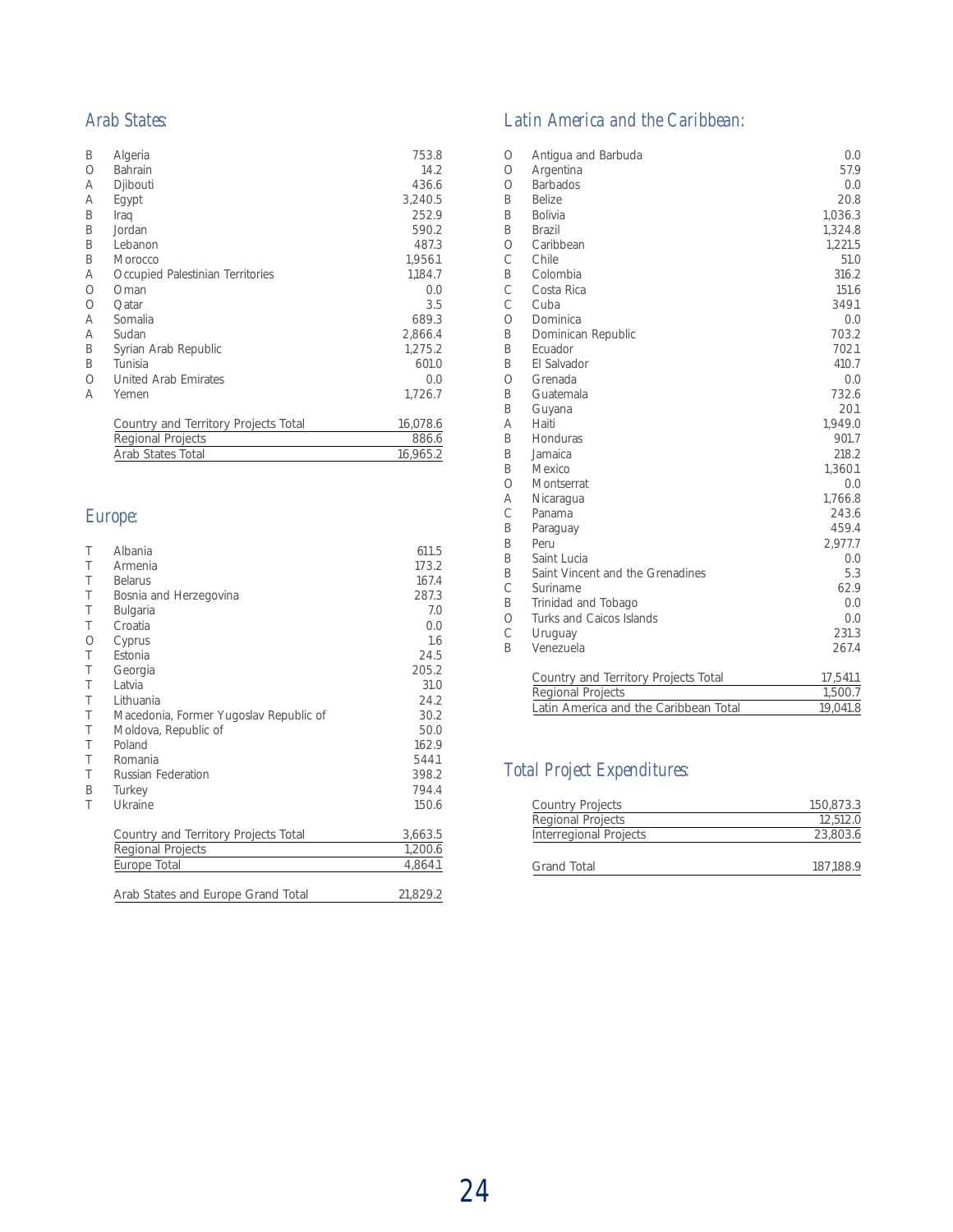#### *Arab States:*

| Β       | Algeria                              | 753.8    |
|---------|--------------------------------------|----------|
| $\circ$ | Bahrain                              | 14.2     |
| Α       | Djibouti                             | 436.6    |
| Α       | Egypt                                | 3,240.5  |
| B       | Iraq                                 | 252.9    |
| B       | Jordan                               | 590.2    |
| B       | Lebanon                              | 487.3    |
| B       | Morocco                              | 1,956.1  |
| Α       | Occupied Palestinian Territories     | 1,184.7  |
| $\circ$ | Oman                                 | 0.0      |
| $\circ$ | Qatar                                | 3.5      |
| Α       | Somalia                              | 689.3    |
| Α       | Sudan                                | 2,866.4  |
| B       | Syrian Arab Republic                 | 1,275.2  |
| B       | Tunisia                              | 601.0    |
| О       | <b>United Arab Emirates</b>          | 0.0      |
| А       | Yemen                                | 1,726.7  |
|         | Country and Territory Projects Total | 16,078.6 |
|         | Regional Projects                    | 886.6    |
|         | <b>Arab States Total</b>             | 16,965.2 |

## *Europe:*

| Τ | Albania                                | 611.5    |
|---|----------------------------------------|----------|
| T | Armenia                                | 173.2    |
| T | <b>Belarus</b>                         | 167.4    |
| Τ | Bosnia and Herzegovina                 | 287.3    |
| Τ | <b>Bulgaria</b>                        | 7.0      |
| Τ | Croatia                                | 0.0      |
| O | Cyprus                                 | 1.6      |
| Τ | Estonia                                | 24.5     |
| Τ | Georgia                                | 205.2    |
| Τ | Latvia                                 | 31.0     |
| Τ | Lithuania                              | 24.2     |
| Τ | Macedonia, Former Yugoslav Republic of | 30.2     |
| Τ | Moldova, Republic of                   | 50.0     |
| T | Poland                                 | 162.9    |
| Τ | Romania                                | 544.1    |
| T | <b>Russian Federation</b>              | 398.2    |
| B | Turkey                                 | 794.4    |
| Τ | Ukraine                                | 150.6    |
|   |                                        |          |
|   | Country and Territory Projects Total   | 3,663.5  |
|   | <b>Regional Projects</b>               | 1,200.6  |
|   | Europe Total                           | 4,864.1  |
|   |                                        |          |
|   | Arab States and Europe Grand Total     | 21,829.2 |

## *Latin America and the Caribbean:*

| О             | Antigua and Barbuda                   | 0.0      |
|---------------|---------------------------------------|----------|
| $\circ$       | Argentina                             | 57.9     |
| $\bigcirc$    | <b>Barbados</b>                       | 0.0      |
| B             | <b>Belize</b>                         | 20.8     |
| B             | <b>Bolivia</b>                        | 1,036.3  |
| B             | Brazil                                | 1,324.8  |
| $\bigcirc$    | Caribbean                             | 1,221.5  |
| Ċ             | Chile                                 | 51.0     |
| B             | Colombia                              | 316.2    |
| Ċ             | Costa Rica                            | 151.6    |
| Ċ             | Cuba                                  | 349.1    |
| $\bigcirc$    | Dominica                              | 0.0      |
| B             | Dominican Republic                    | 703.2    |
| B             | Ecuador                               | 702.1    |
| B             | El Salvador                           | 410.7    |
| $\bigcirc$    | Grenada                               | 0.0      |
| B             | Guatemala                             | 732.6    |
| B             | Guyana                                | 20.1     |
| Α             | Haiti                                 | 1,949.0  |
| B             | Honduras                              | 901.7    |
| B             | Jamaica                               | 218.2    |
| B             | Mexico                                | 1,360.1  |
| $\bigcirc$    | Montserrat                            | 0.0      |
| Α             | Nicaragua                             | 1,766.8  |
| Ċ             | Panama                                | 243.6    |
| B             | Paraguay                              | 459.4    |
| B             | Peru                                  | 2,977.7  |
| B             | Saint Lucia                           | 0.0      |
| B             | Saint Vincent and the Grenadines      | 5.3      |
| $\mathcal{C}$ | Suriname                              | 62.9     |
| B             | Trinidad and Tobago                   | 0.0      |
| $\circ$       | Turks and Caicos Islands              | 0.0      |
| C             | Uruguay                               | 231.3    |
| B             | Venezuela                             | 267.4    |
|               | Country and Territory Projects Total  | 17,541.1 |
|               | <b>Regional Projects</b>              | 1,500.7  |
|               | Latin America and the Caribbean Total | 19,041.8 |

## *Total Project Expenditures:*

| <b>Country Projects</b>       | 150,873.3 |
|-------------------------------|-----------|
| <b>Regional Projects</b>      | 12,512.0  |
| <b>Interregional Projects</b> | 23,803.6  |
| <b>Grand Total</b>            | 187,188.9 |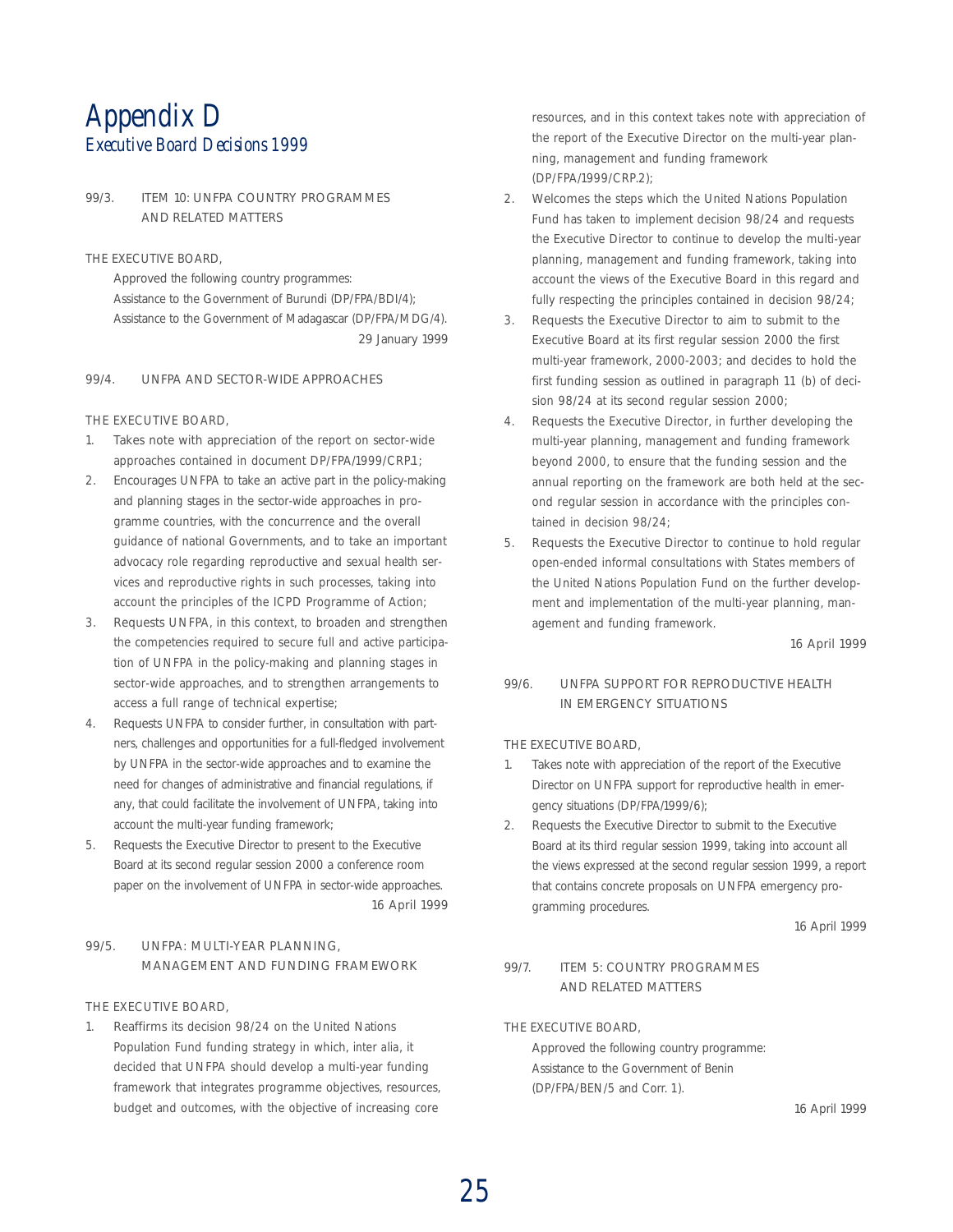## *Appendix D Executive Board Decisions 1999*

#### 99/3. ITEM 10: UNFPA COUNTRY PROGRAMMES AND RELATED MATTERS

THE EXECUTIVE BOARD,

Approved the following country programmes: Assistance to the Government of Burundi (DP/FPA/BDI/4); Assistance to the Government of Madagascar (DP/FPA/MDG/4). 29 January 1999

#### 99/4. UNFPA AND SECTOR-WIDE APPROACHES

#### THE EXECUTIVE BOARD,

- 1. Takes note with appreciation of the report on sector-wide approaches contained in document DP/FPA/1999/CRP.1;
- 2. Encourages UNFPA to take an active part in the policy-making and planning stages in the sector-wide approaches in programme countries, with the concurrence and the overall guidance of national Governments, and to take an important advocacy role regarding reproductive and sexual health services and reproductive rights in such processes, taking into account the principles of the ICPD Programme of Action;
- 3. Requests UNFPA, in this context, to broaden and strengthen the competencies required to secure full and active participation of UNFPA in the policy-making and planning stages in sector-wide approaches, and to strengthen arrangements to access a full range of technical expertise;
- 4. Requests UNFPA to consider further, in consultation with partners, challenges and opportunities for a full-fledged involvement by UNFPA in the sector-wide approaches and to examine the need for changes of administrative and financial regulations, if any, that could facilitate the involvement of UNFPA, taking into account the multi-year funding framework;
- 5. Requests the Executive Director to present to the Executive Board at its second regular session 2000 a conference room paper on the involvement of UNFPA in sector-wide approaches. 16 April 1999

#### 99/5. UNFPA: MULTI-YEAR PLANNING, MANAGEMENT AND FUNDING FRAMEWORK

THE EXECUTIVE BOARD,

Reaffirms its decision 98/24 on the United Nations Population Fund funding strategy in which, *inter alia*, it decided that UNFPA should develop a multi-year funding framework that integrates programme objectives, resources, budget and outcomes, with the objective of increasing core

resources, and in this context takes note with appreciation of the report of the Executive Director on the multi-year planning, management and funding framework (DP/FPA/1999/CRP.2);

- 2. Welcomes the steps which the United Nations Population Fund has taken to implement decision 98/24 and requests the Executive Director to continue to develop the multi-year planning, management and funding framework, taking into account the views of the Executive Board in this regard and fully respecting the principles contained in decision 98/24;
- 3. Requests the Executive Director to aim to submit to the Executive Board at its first regular session 2000 the first multi-year framework, 2000-2003; and decides to hold the first funding session as outlined in paragraph 11 (b) of decision 98/24 at its second regular session 2000;
- 4. Requests the Executive Director, in further developing the multi-year planning, management and funding framework beyond 2000, to ensure that the funding session and the annual reporting on the framework are both held at the second regular session in accordance with the principles contained in decision 98/24;
- 5. Requests the Executive Director to continue to hold regular open-ended informal consultations with States members of the United Nations Population Fund on the further development and implementation of the multi-year planning, management and funding framework.

16 April 1999

#### 99/6. UNFPA SUPPORT FOR REPRODUCTIVE HEALTH IN EMERGENCY SITUATIONS

#### THE EXECUTIVE BOARD,

- 1. Takes note with appreciation of the report of the Executive Director on UNFPA support for reproductive health in emergency situations (DP/FPA/1999/6);
- 2. Requests the Executive Director to submit to the Executive Board at its third regular session 1999, taking into account all the views expressed at the second regular session 1999, a report that contains concrete proposals on UNFPA emergency programming procedures.

16 April 1999

#### 99/7. ITEM 5: COUNTRY PROGRAMMES AND RELATED MATTERS

THE EXECUTIVE BOARD,

Approved the following country programme: Assistance to the Government of Benin (DP/FPA/BEN/5 and Corr. 1).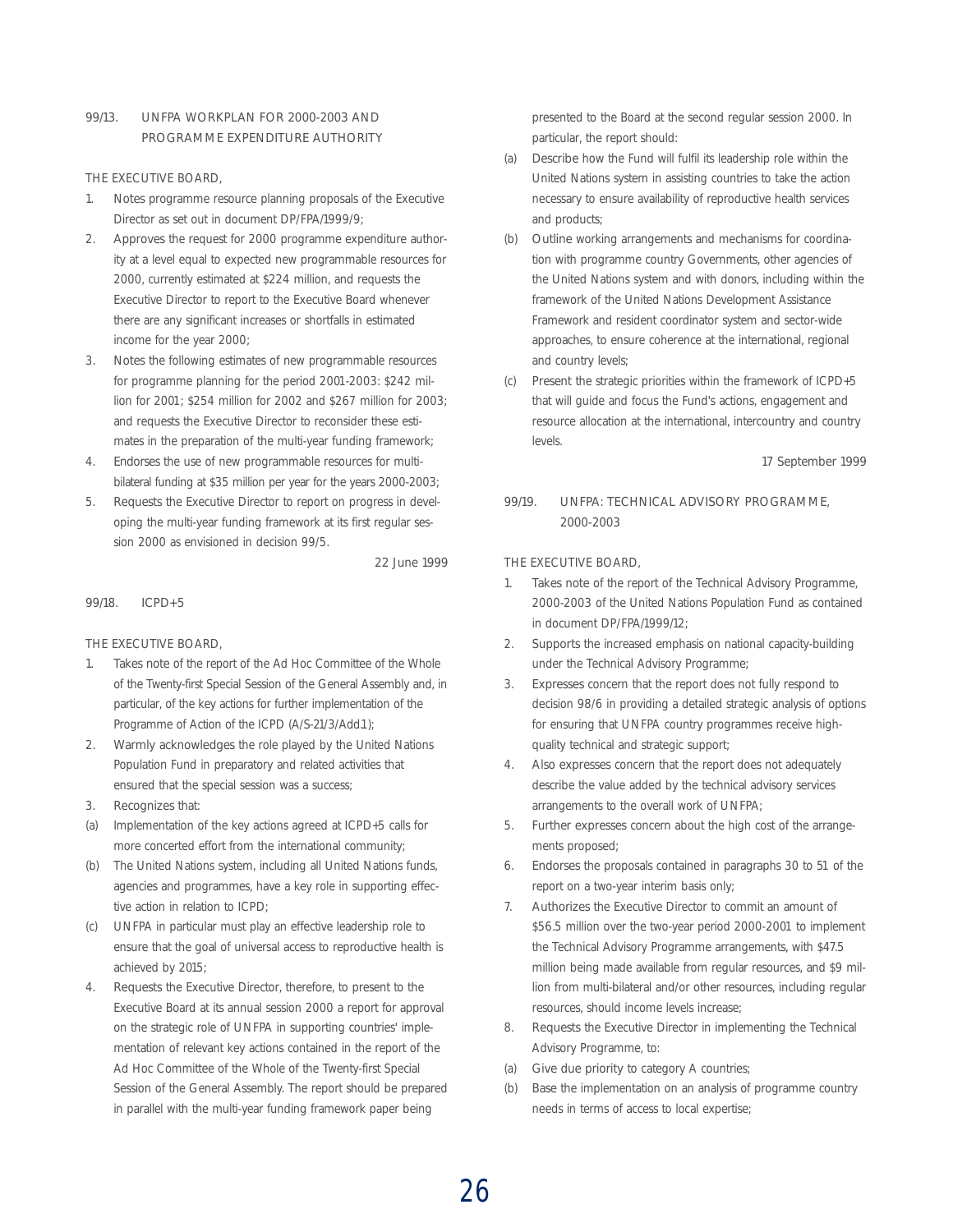#### 99/13. UNFPA WORKPLAN FOR 2000-2003 AND PROGRAMME EXPENDITURE AUTHORITY

THE EXECUTIVE BOARD,

- 1. Notes programme resource planning proposals of the Executive Director as set out in document DP/FPA/1999/9;
- 2. Approves the request for 2000 programme expenditure authority at a level equal to expected new programmable resources for 2000, currently estimated at \$224 million, and requests the Executive Director to report to the Executive Board whenever there are any significant increases or shortfalls in estimated income for the year 2000;
- 3. Notes the following estimates of new programmable resources for programme planning for the period 2001-2003: \$242 million for 2001; \$254 million for 2002 and \$267 million for 2003; and requests the Executive Director to reconsider these estimates in the preparation of the multi-year funding framework;
- 4. Endorses the use of new programmable resources for multibilateral funding at \$35 million per year for the years 2000-2003;
- 5. Requests the Executive Director to report on progress in developing the multi-year funding framework at its first regular session 2000 as envisioned in decision 99/5.

22 June 1999

#### 99/18. ICPD+5

THE EXECUTIVE BOARD,

- 1. Takes note of the report of the Ad Hoc Committee of the Whole of the Twenty-first Special Session of the General Assembly and, in particular, of the key actions for further implementation of the Programme of Action of the ICPD (A/S-21/3/Add.1);
- 2. Warmly acknowledges the role played by the United Nations Population Fund in preparatory and related activities that ensured that the special session was a success;
- 3. Recognizes that:
- (a) Implementation of the key actions agreed at ICPD+5 calls for more concerted effort from the international community;
- (b) The United Nations system, including all United Nations funds, agencies and programmes, have a key role in supporting effective action in relation to ICPD;
- (c) UNFPA in particular must play an effective leadership role to ensure that the goal of universal access to reproductive health is achieved by 2015;
- 4. Requests the Executive Director, therefore, to present to the Executive Board at its annual session 2000 a report for approval on the strategic role of UNFPA in supporting countries' implementation of relevant key actions contained in the report of the Ad Hoc Committee of the Whole of the Twenty-first Special Session of the General Assembly. The report should be prepared in parallel with the multi-year funding framework paper being

presented to the Board at the second regular session 2000. In particular, the report should:

- (a) Describe how the Fund will fulfil its leadership role within the United Nations system in assisting countries to take the action necessary to ensure availability of reproductive health services and products;
- (b) Outline working arrangements and mechanisms for coordination with programme country Governments, other agencies of the United Nations system and with donors, including within the framework of the United Nations Development Assistance Framework and resident coordinator system and sector-wide approaches, to ensure coherence at the international, regional and country levels;
- (c) Present the strategic priorities within the framework of ICPD+5 that will guide and focus the Fund's actions, engagement and resource allocation at the international, intercountry and country levels.

17 September 1999

#### 99/19. UNFPA: TECHNICAL ADVISORY PROGRAMME, 2000-2003

THE EXECUTIVE BOARD,

- Takes note of the report of the Technical Advisory Programme, 2000-2003 of the United Nations Population Fund as contained in document DP/FPA/1999/12;
- 2. Supports the increased emphasis on national capacity-building under the Technical Advisory Programme;
- 3. Expresses concern that the report does not fully respond to decision 98/6 in providing a detailed strategic analysis of options for ensuring that UNFPA country programmes receive highquality technical and strategic support;
- 4. Also expresses concern that the report does not adequately describe the value added by the technical advisory services arrangements to the overall work of UNFPA;
- 5. Further expresses concern about the high cost of the arrangements proposed;
- 6. Endorses the proposals contained in paragraphs 30 to 51 of the report on a two-year interim basis only;
- 7. Authorizes the Executive Director to commit an amount of \$56.5 million over the two-year period 2000-2001 to implement the Technical Advisory Programme arrangements, with \$47.5 million being made available from regular resources, and \$9 million from multi-bilateral and/or other resources, including regular resources, should income levels increase;
- 8. Requests the Executive Director in implementing the Technical Advisory Programme, to:
- (a) Give due priority to category A countries;
- (b) Base the implementation on an analysis of programme country needs in terms of access to local expertise;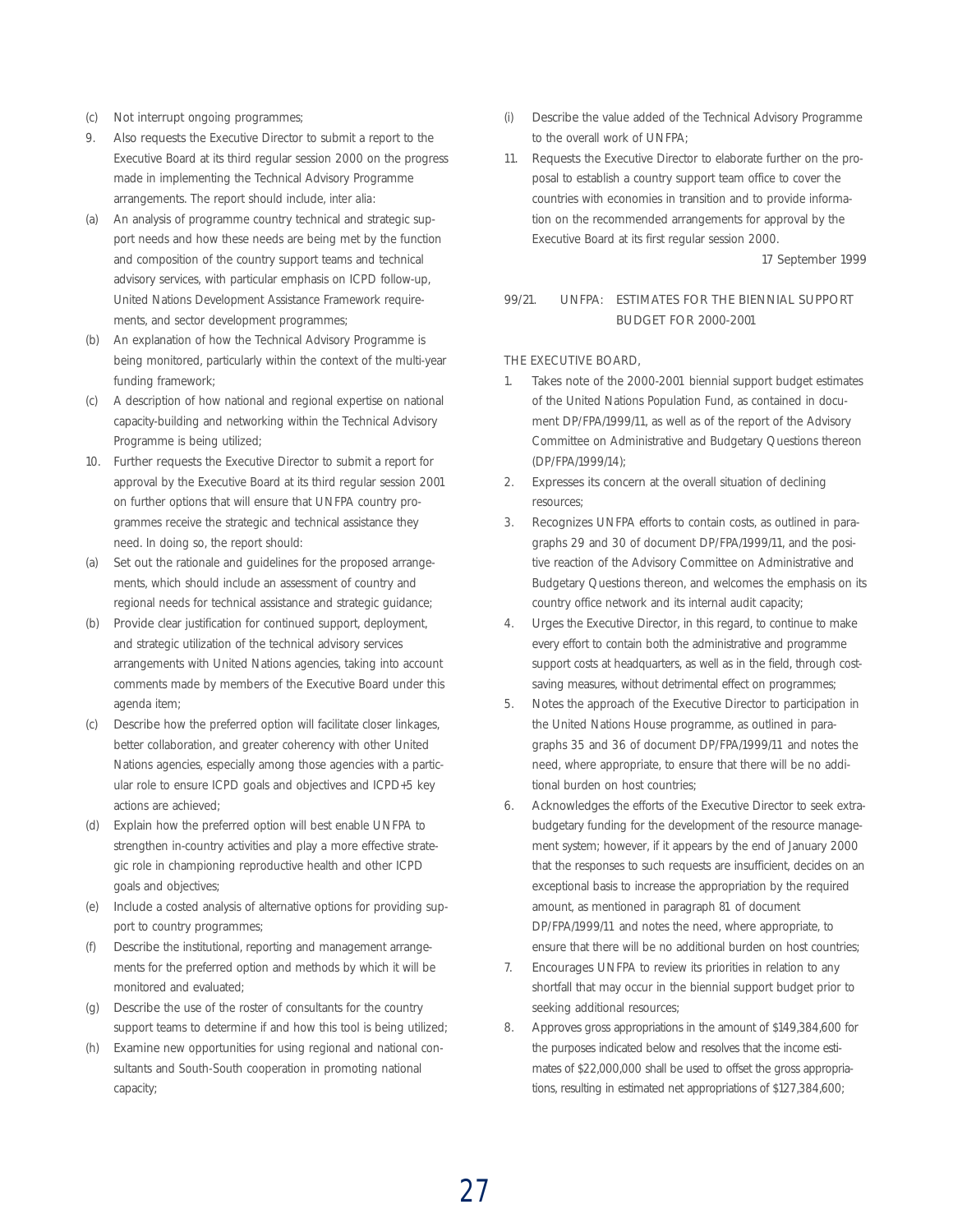- (c) Not interrupt ongoing programmes;
- 9. Also requests the Executive Director to submit a report to the Executive Board at its third regular session 2000 on the progress made in implementing the Technical Advisory Programme arrangements. The report should include, *inter alia*:
- (a) An analysis of programme country technical and strategic support needs and how these needs are being met by the function and composition of the country support teams and technical advisory services, with particular emphasis on ICPD follow-up, United Nations Development Assistance Framework requirements, and sector development programmes;
- (b) An explanation of how the Technical Advisory Programme is being monitored, particularly within the context of the multi-year funding framework;
- (c) A description of how national and regional expertise on national capacity-building and networking within the Technical Advisory Programme is being utilized;
- 10. Further requests the Executive Director to submit a report for approval by the Executive Board at its third regular session 2001 on further options that will ensure that UNFPA country programmes receive the strategic and technical assistance they need. In doing so, the report should:
- (a) Set out the rationale and guidelines for the proposed arrangements, which should include an assessment of country and regional needs for technical assistance and strategic guidance;
- (b) Provide clear justification for continued support, deployment, and strategic utilization of the technical advisory services arrangements with United Nations agencies, taking into account comments made by members of the Executive Board under this agenda item;
- (c) Describe how the preferred option will facilitate closer linkages, better collaboration, and greater coherency with other United Nations agencies, especially among those agencies with a particular role to ensure ICPD goals and objectives and ICPD+5 key actions are achieved;
- (d) Explain how the preferred option will best enable UNFPA to strengthen in-country activities and play a more effective strategic role in championing reproductive health and other ICPD goals and objectives;
- (e) Include a costed analysis of alternative options for providing support to country programmes;
- (f) Describe the institutional, reporting and management arrangements for the preferred option and methods by which it will be monitored and evaluated;
- (g) Describe the use of the roster of consultants for the country support teams to determine if and how this tool is being utilized;
- (h) Examine new opportunities for using regional and national consultants and South-South cooperation in promoting national capacity;
- (i) Describe the value added of the Technical Advisory Programme to the overall work of UNFPA;
- 11. Requests the Executive Director to elaborate further on the proposal to establish a country support team office to cover the countries with economies in transition and to provide information on the recommended arrangements for approval by the Executive Board at its first regular session 2000.

17 September 1999

#### 99/21. UNFPA: ESTIMATES FOR THE BIENNIAL SUPPORT BUDGET FOR 2000-2001

THE EXECUTIVE BOARD,

- 1. Takes note of the 2000-2001 biennial support budget estimates of the United Nations Population Fund, as contained in document DP/FPA/1999/11, as well as of the report of the Advisory Committee on Administrative and Budgetary Questions thereon (DP/FPA/1999/14);
- 2. Expresses its concern at the overall situation of declining resources;
- 3. Recognizes UNFPA efforts to contain costs, as outlined in paragraphs 29 and 30 of document DP/FPA/1999/11, and the positive reaction of the Advisory Committee on Administrative and Budgetary Questions thereon, and welcomes the emphasis on its country office network and its internal audit capacity;
- 4. Urges the Executive Director, in this regard, to continue to make every effort to contain both the administrative and programme support costs at headquarters, as well as in the field, through costsaving measures, without detrimental effect on programmes;
- 5. Notes the approach of the Executive Director to participation in the United Nations House programme, as outlined in paragraphs 35 and 36 of document DP/FPA/1999/11 and notes the need, where appropriate, to ensure that there will be no additional burden on host countries;
- 6. Acknowledges the efforts of the Executive Director to seek extrabudgetary funding for the development of the resource management system; however, if it appears by the end of January 2000 that the responses to such requests are insufficient, decides on an exceptional basis to increase the appropriation by the required amount, as mentioned in paragraph 81 of document DP/FPA/1999/11 and notes the need, where appropriate, to ensure that there will be no additional burden on host countries;
- 7. Encourages UNFPA to review its priorities in relation to any shortfall that may occur in the biennial support budget prior to seeking additional resources;
- 8. Approves gross appropriations in the amount of \$149,384,600 for the purposes indicated below and resolves that the income estimates of \$22,000,000 shall be used to offset the gross appropriations, resulting in estimated net appropriations of \$127,384,600;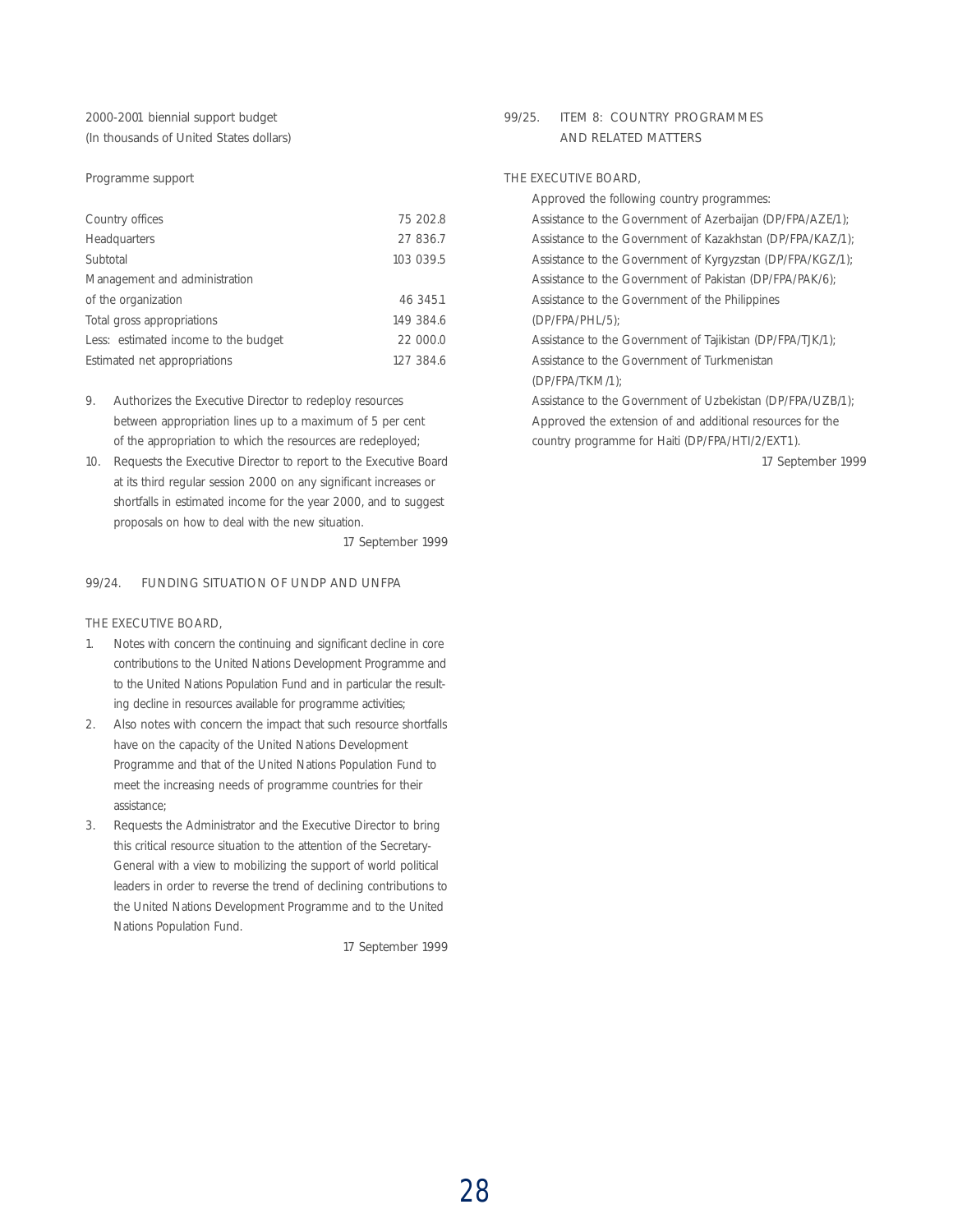#### 2000-2001 biennial support budget (In thousands of United States dollars)

#### Programme support

| Country offices                      | 75 202.8  |  |
|--------------------------------------|-----------|--|
| Headquarters                         | 27 836.7  |  |
| Subtotal                             | 103 039.5 |  |
| Management and administration        |           |  |
| of the organization                  | 46 345.1  |  |
| Total gross appropriations           | 149 384.6 |  |
| Less: estimated income to the budget | 22 000.0  |  |
| Estimated net appropriations         | 127 384.6 |  |
|                                      |           |  |

- 9. Authorizes the Executive Director to redeploy resources between appropriation lines up to a maximum of 5 per cent of the appropriation to which the resources are redeployed;
- 10. Requests the Executive Director to report to the Executive Board at its third regular session 2000 on any significant increases or shortfalls in estimated income for the year 2000, and to suggest proposals on how to deal with the new situation.

17 September 1999

#### 99/24. FUNDING SITUATION OF UNDP AND UNFPA

#### THE EXECUTIVE BOARD,

- 1. Notes with concern the continuing and significant decline in core contributions to the United Nations Development Programme and to the United Nations Population Fund and in particular the resulting decline in resources available for programme activities;
- 2. Also notes with concern the impact that such resource shortfalls have on the capacity of the United Nations Development Programme and that of the United Nations Population Fund to meet the increasing needs of programme countries for their assistance;
- 3. Requests the Administrator and the Executive Director to bring this critical resource situation to the attention of the Secretary-General with a view to mobilizing the support of world political leaders in order to reverse the trend of declining contributions to the United Nations Development Programme and to the United Nations Population Fund.

17 September 1999

#### 99/25. ITEM 8: COUNTRY PROGRAMMES AND RELATED MATTERS

#### THE EXECUTIVE BOARD,

Approved the following country programmes: Assistance to the Government of Azerbaijan (DP/FPA/AZE/1); Assistance to the Government of Kazakhstan (DP/FPA/KAZ/1); Assistance to the Government of Kyrgyzstan (DP/FPA/KGZ/1); Assistance to the Government of Pakistan (DP/FPA/PAK/6); Assistance to the Government of the Philippines (DP/FPA/PHL/5); Assistance to the Government of Tajikistan (DP/FPA/TJK/1); Assistance to the Government of Turkmenistan (DP/FPA/TKM/1); Assistance to the Government of Uzbekistan (DP/FPA/UZB/1); Approved the extension of and additional resources for the country programme for Haiti (DP/FPA/HTI/2/EXT1).

17 September 1999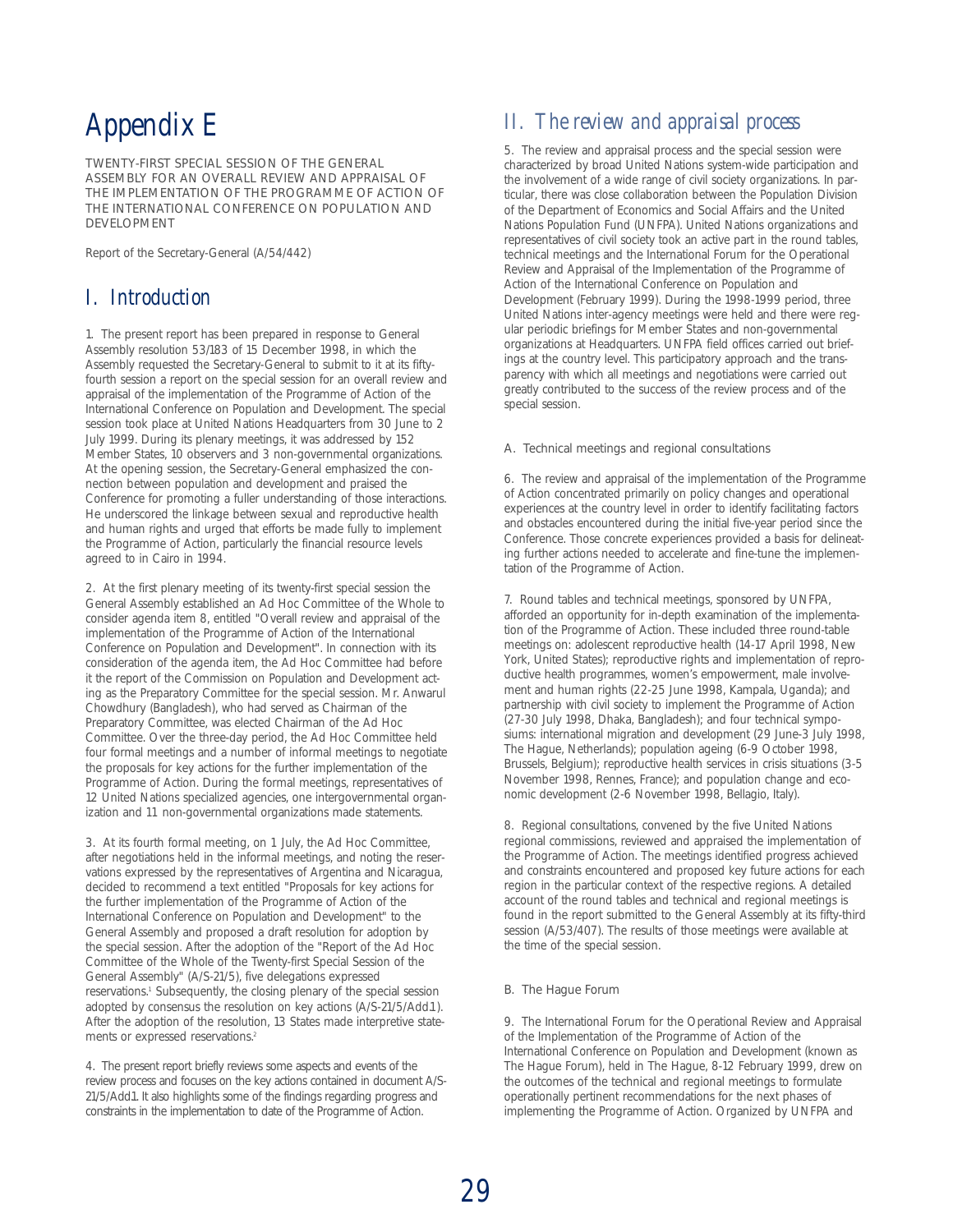# *Appendix E*

TWENTY-FIRST SPECIAL SESSION OF THE GENERAL ASSEMBLY FOR AN OVERALL REVIEW AND APPRAISAL OF THE IMPLEMENTATION OF THE PROGRAMME OF ACTION OF THE INTERNATIONAL CONFERENCE ON POPULATION AND DEVELOPMENT

Report of the Secretary-General (A/54/442)

## *I. Introduction*

1. The present report has been prepared in response to General Assembly resolution 53/183 of 15 December 1998, in which the Assembly requested the Secretary-General to submit to it at its fiftyfourth session a report on the special session for an overall review and appraisal of the implementation of the Programme of Action of the International Conference on Population and Development. The special session took place at United Nations Headquarters from 30 June to 2 July 1999. During its plenary meetings, it was addressed by 152 Member States, 10 observers and 3 non-governmental organizations. At the opening session, the Secretary-General emphasized the connection between population and development and praised the Conference for promoting a fuller understanding of those interactions. He underscored the linkage between sexual and reproductive health and human rights and urged that efforts be made fully to implement the Programme of Action, particularly the financial resource levels agreed to in Cairo in 1994.

2. At the first plenary meeting of its twenty-first special session the General Assembly established an Ad Hoc Committee of the Whole to consider agenda item 8, entitled "Overall review and appraisal of the implementation of the Programme of Action of the International Conference on Population and Development". In connection with its consideration of the agenda item, the Ad Hoc Committee had before it the report of the Commission on Population and Development acting as the Preparatory Committee for the special session. Mr. Anwarul Chowdhury (Bangladesh), who had served as Chairman of the Preparatory Committee, was elected Chairman of the Ad Hoc Committee. Over the three-day period, the Ad Hoc Committee held four formal meetings and a number of informal meetings to negotiate the proposals for key actions for the further implementation of the Programme of Action. During the formal meetings, representatives of 12 United Nations specialized agencies, one intergovernmental organization and 11 non-governmental organizations made statements.

3. At its fourth formal meeting, on 1 July, the Ad Hoc Committee, after negotiations held in the informal meetings, and noting the reservations expressed by the representatives of Argentina and Nicaragua, decided to recommend a text entitled "Proposals for key actions for the further implementation of the Programme of Action of the International Conference on Population and Development" to the General Assembly and proposed a draft resolution for adoption by the special session. After the adoption of the "Report of the Ad Hoc Committee of the Whole of the Twenty-first Special Session of the General Assembly" (A/S-21/5), five delegations expressed reservations.<sup>1</sup> Subsequently, the closing plenary of the special session adopted by consensus the resolution on key actions (A/S-21/5/Add.1). After the adoption of the resolution, 13 States made interpretive statements or expressed reservations.<sup>2</sup>

4. The present report briefly reviews some aspects and events of the review process and focuses on the key actions contained in document A/S-21/5/Add.1. It also highlights some of the findings regarding progress and constraints in the implementation to date of the Programme of Action.

## *II. The review and appraisal process*

5. The review and appraisal process and the special session were characterized by broad United Nations system-wide participation and the involvement of a wide range of civil society organizations. In particular, there was close collaboration between the Population Division of the Department of Economics and Social Affairs and the United Nations Population Fund (UNFPA). United Nations organizations and representatives of civil society took an active part in the round tables, technical meetings and the International Forum for the Operational Review and Appraisal of the Implementation of the Programme of Action of the International Conference on Population and Development (February 1999). During the 1998-1999 period, three United Nations inter-agency meetings were held and there were regular periodic briefings for Member States and non-governmental organizations at Headquarters. UNFPA field offices carried out briefings at the country level. This participatory approach and the transparency with which all meetings and negotiations were carried out greatly contributed to the success of the review process and of the special session.

#### A. Technical meetings and regional consultations

6. The review and appraisal of the implementation of the Programme of Action concentrated primarily on policy changes and operational experiences at the country level in order to identify facilitating factors and obstacles encountered during the initial five-year period since the Conference. Those concrete experiences provided a basis for delineating further actions needed to accelerate and fine-tune the implementation of the Programme of Action.

7. Round tables and technical meetings, sponsored by UNFPA, afforded an opportunity for in-depth examination of the implementation of the Programme of Action. These included three round-table meetings on: adolescent reproductive health (14-17 April 1998, New York, United States); reproductive rights and implementation of reproductive health programmes, women's empowerment, male involvement and human rights (22-25 June 1998, Kampala, Uganda); and partnership with civil society to implement the Programme of Action (27-30 July 1998, Dhaka, Bangladesh); and four technical symposiums: international migration and development (29 June-3 July 1998, The Hague, Netherlands); population ageing (6-9 October 1998, Brussels, Belgium); reproductive health services in crisis situations (3-5 November 1998, Rennes, France); and population change and economic development (2-6 November 1998, Bellagio, Italy).

8. Regional consultations, convened by the five United Nations regional commissions, reviewed and appraised the implementation of the Programme of Action. The meetings identified progress achieved and constraints encountered and proposed key future actions for each region in the particular context of the respective regions. A detailed account of the round tables and technical and regional meetings is found in the report submitted to the General Assembly at its fifty-third session (A/53/407). The results of those meetings were available at the time of the special session.

#### B. The Hague Forum

9. The International Forum for the Operational Review and Appraisal of the Implementation of the Programme of Action of the International Conference on Population and Development (known as The Hague Forum), held in The Hague, 8-12 February 1999, drew on the outcomes of the technical and regional meetings to formulate operationally pertinent recommendations for the next phases of implementing the Programme of Action. Organized by UNFPA and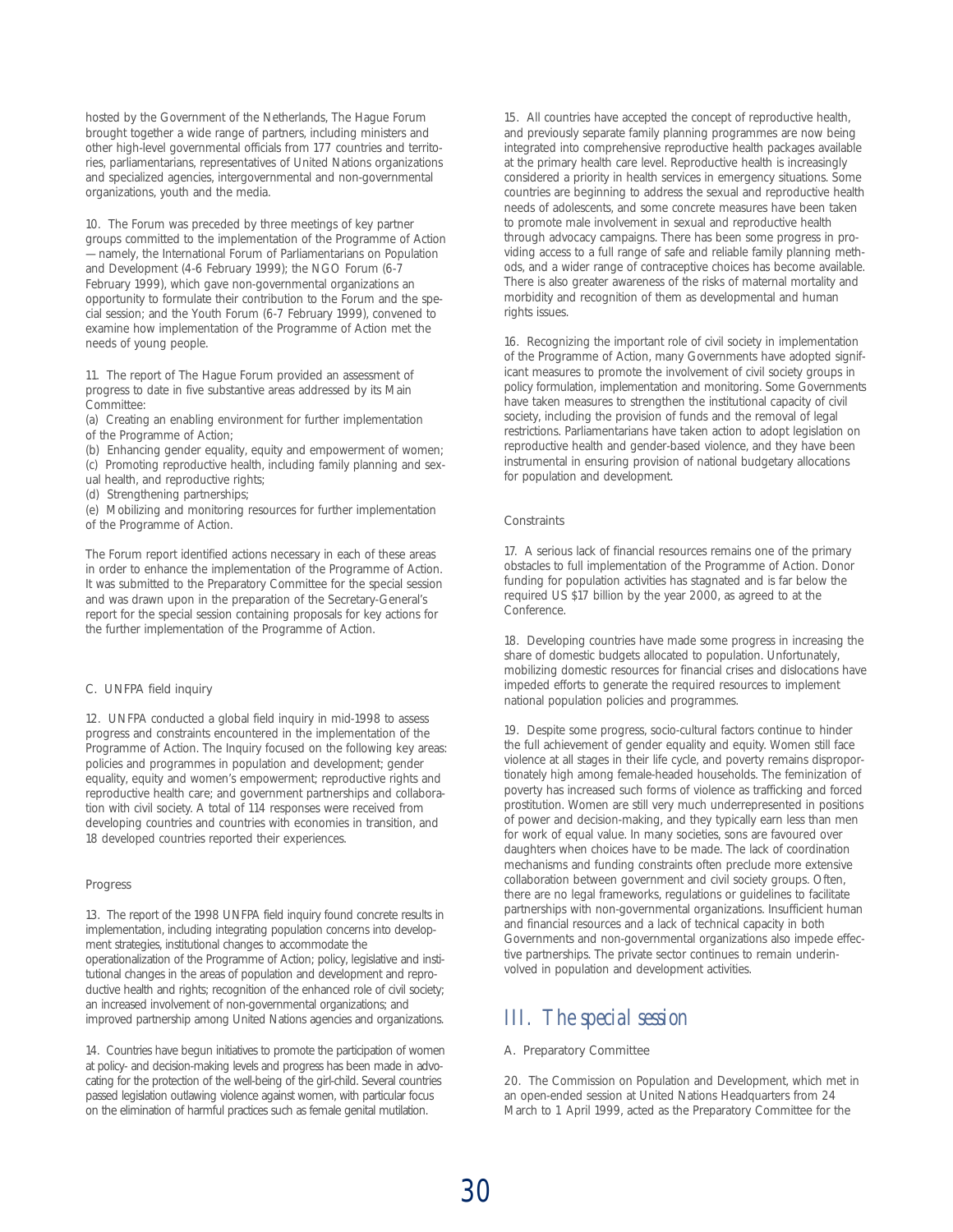hosted by the Government of the Netherlands, The Hague Forum brought together a wide range of partners, including ministers and other high-level governmental officials from 177 countries and territories, parliamentarians, representatives of United Nations organizations and specialized agencies, intergovernmental and non-governmental organizations, youth and the media.

10. The Forum was preceded by three meetings of key partner groups committed to the implementation of the Programme of Action — namely, the International Forum of Parliamentarians on Population and Development (4-6 February 1999); the NGO Forum (6-7 February 1999), which gave non-governmental organizations an opportunity to formulate their contribution to the Forum and the special session; and the Youth Forum (6-7 February 1999), convened to examine how implementation of the Programme of Action met the needs of young people.

11. The report of The Hague Forum provided an assessment of progress to date in five substantive areas addressed by its Main Committee:

(a) Creating an enabling environment for further implementation of the Programme of Action;

(b) Enhancing gender equality, equity and empowerment of women;

(c) Promoting reproductive health, including family planning and sex-

ual health, and reproductive rights;

(d) Strengthening partnerships;

(e) Mobilizing and monitoring resources for further implementation of the Programme of Action.

The Forum report identified actions necessary in each of these areas in order to enhance the implementation of the Programme of Action. It was submitted to the Preparatory Committee for the special session and was drawn upon in the preparation of the Secretary-General's report for the special session containing proposals for key actions for the further implementation of the Programme of Action.

#### C. UNFPA field inquiry

12. UNFPA conducted a global field inquiry in mid-1998 to assess progress and constraints encountered in the implementation of the Programme of Action. The Inquiry focused on the following key areas: policies and programmes in population and development; gender equality, equity and women's empowerment; reproductive rights and reproductive health care; and government partnerships and collaboration with civil society. A total of 114 responses were received from developing countries and countries with economies in transition, and 18 developed countries reported their experiences.

#### Progress

13. The report of the 1998 UNFPA field inquiry found concrete results in implementation, including integrating population concerns into development strategies, institutional changes to accommodate the operationalization of the Programme of Action; policy, legislative and institutional changes in the areas of population and development and reproductive health and rights; recognition of the enhanced role of civil society; an increased involvement of non-governmental organizations; and improved partnership among United Nations agencies and organizations.

14. Countries have begun initiatives to promote the participation of women at policy- and decision-making levels and progress has been made in advocating for the protection of the well-being of the girl-child. Several countries passed legislation outlawing violence against women, with particular focus on the elimination of harmful practices such as female genital mutilation.

15. All countries have accepted the concept of reproductive health, and previously separate family planning programmes are now being integrated into comprehensive reproductive health packages available at the primary health care level. Reproductive health is increasingly considered a priority in health services in emergency situations. Some countries are beginning to address the sexual and reproductive health needs of adolescents, and some concrete measures have been taken to promote male involvement in sexual and reproductive health through advocacy campaigns. There has been some progress in providing access to a full range of safe and reliable family planning methods, and a wider range of contraceptive choices has become available. There is also greater awareness of the risks of maternal mortality and morbidity and recognition of them as developmental and human rights issues.

16. Recognizing the important role of civil society in implementation of the Programme of Action, many Governments have adopted significant measures to promote the involvement of civil society groups in policy formulation, implementation and monitoring. Some Governments have taken measures to strengthen the institutional capacity of civil society, including the provision of funds and the removal of legal restrictions. Parliamentarians have taken action to adopt legislation on reproductive health and gender-based violence, and they have been instrumental in ensuring provision of national budgetary allocations for population and development.

#### **Constraints**

17. A serious lack of financial resources remains one of the primary obstacles to full implementation of the Programme of Action. Donor funding for population activities has stagnated and is far below the required US \$17 billion by the year 2000, as agreed to at the Conference.

18. Developing countries have made some progress in increasing the share of domestic budgets allocated to population. Unfortunately, mobilizing domestic resources for financial crises and dislocations have impeded efforts to generate the required resources to implement national population policies and programmes.

19. Despite some progress, socio-cultural factors continue to hinder the full achievement of gender equality and equity. Women still face violence at all stages in their life cycle, and poverty remains disproportionately high among female-headed households. The feminization of poverty has increased such forms of violence as trafficking and forced prostitution. Women are still very much underrepresented in positions of power and decision-making, and they typically earn less than men for work of equal value. In many societies, sons are favoured over daughters when choices have to be made. The lack of coordination mechanisms and funding constraints often preclude more extensive collaboration between government and civil society groups. Often, there are no legal frameworks, regulations or guidelines to facilitate partnerships with non-governmental organizations. Insufficient human and financial resources and a lack of technical capacity in both Governments and non-governmental organizations also impede effective partnerships. The private sector continues to remain underinvolved in population and development activities.

## *III. The special session*

#### A. Preparatory Committee

20. The Commission on Population and Development, which met in an open-ended session at United Nations Headquarters from 24 March to 1 April 1999, acted as the Preparatory Committee for the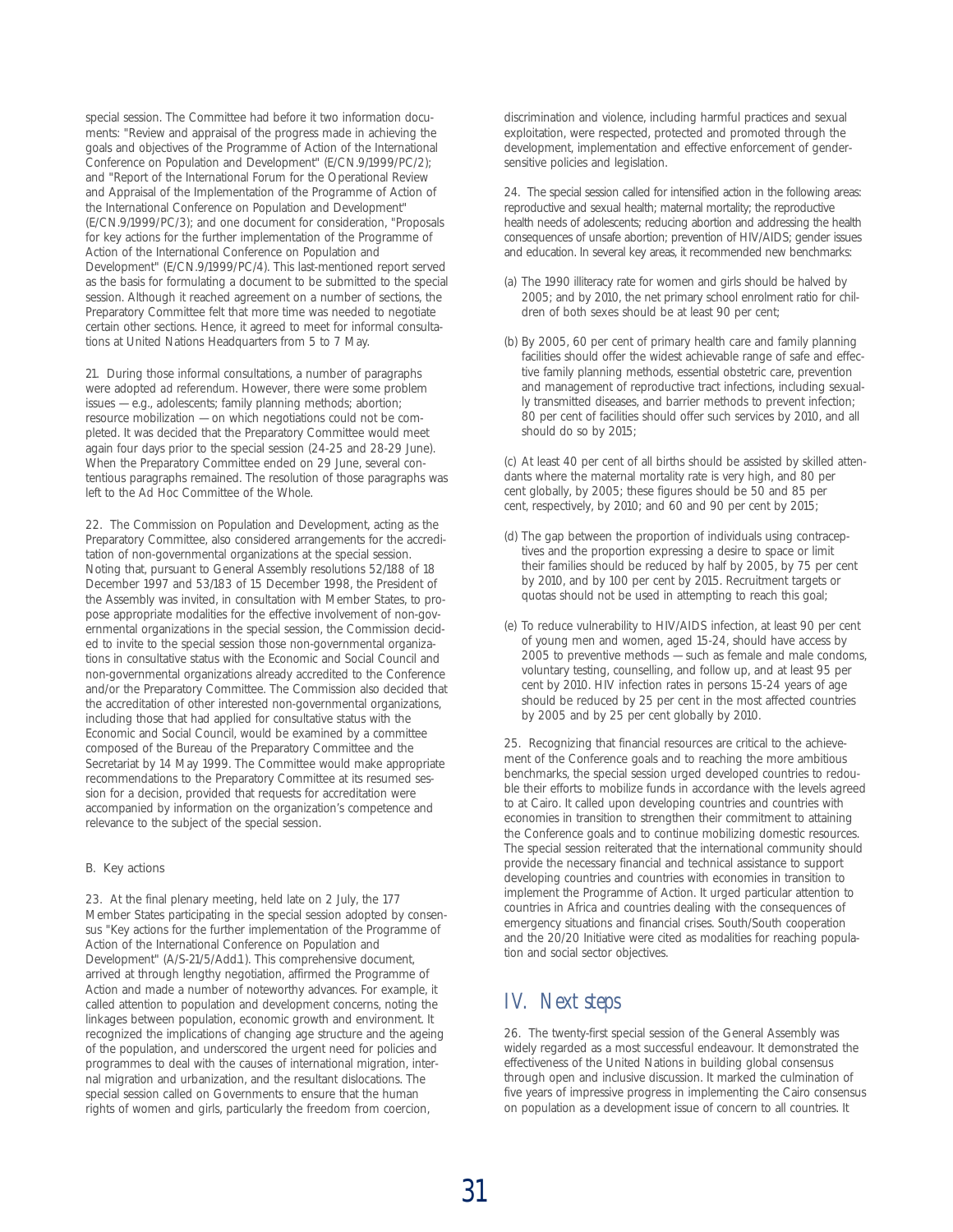special session. The Committee had before it two information documents: "Review and appraisal of the progress made in achieving the goals and objectives of the Programme of Action of the International Conference on Population and Development" (E/CN.9/1999/PC/2); and "Report of the International Forum for the Operational Review and Appraisal of the Implementation of the Programme of Action of the International Conference on Population and Development" (E/CN.9/1999/PC/3); and one document for consideration, "Proposals for key actions for the further implementation of the Programme of Action of the International Conference on Population and Development" (E/CN.9/1999/PC/4). This last-mentioned report served as the basis for formulating a document to be submitted to the special session. Although it reached agreement on a number of sections, the Preparatory Committee felt that more time was needed to negotiate certain other sections. Hence, it agreed to meet for informal consultations at United Nations Headquarters from 5 to 7 May.

21. During those informal consultations, a number of paragraphs were adopted *ad referendum*. However, there were some problem issues — e.g., adolescents; family planning methods; abortion; resource mobilization — on which negotiations could not be completed. It was decided that the Preparatory Committee would meet again four days prior to the special session (24-25 and 28-29 June). When the Preparatory Committee ended on 29 June, several contentious paragraphs remained. The resolution of those paragraphs was left to the Ad Hoc Committee of the Whole.

22. The Commission on Population and Development, acting as the Preparatory Committee, also considered arrangements for the accreditation of non-governmental organizations at the special session. Noting that, pursuant to General Assembly resolutions 52/188 of 18 December 1997 and 53/183 of 15 December 1998, the President of the Assembly was invited, in consultation with Member States, to propose appropriate modalities for the effective involvement of non-governmental organizations in the special session, the Commission decided to invite to the special session those non-governmental organizations in consultative status with the Economic and Social Council and non-governmental organizations already accredited to the Conference and/or the Preparatory Committee. The Commission also decided that the accreditation of other interested non-governmental organizations, including those that had applied for consultative status with the Economic and Social Council, would be examined by a committee composed of the Bureau of the Preparatory Committee and the Secretariat by 14 May 1999. The Committee would make appropriate recommendations to the Preparatory Committee at its resumed session for a decision, provided that requests for accreditation were accompanied by information on the organization's competence and relevance to the subject of the special session.

#### B. Key actions

23. At the final plenary meeting, held late on 2 July, the 177 Member States participating in the special session adopted by consensus "Key actions for the further implementation of the Programme of Action of the International Conference on Population and Development" (A/S-21/5/Add.1). This comprehensive document, arrived at through lengthy negotiation, affirmed the Programme of Action and made a number of noteworthy advances. For example, it called attention to population and development concerns, noting the linkages between population, economic growth and environment. It recognized the implications of changing age structure and the ageing of the population, and underscored the urgent need for policies and programmes to deal with the causes of international migration, internal migration and urbanization, and the resultant dislocations. The special session called on Governments to ensure that the human rights of women and girls, particularly the freedom from coercion,

discrimination and violence, including harmful practices and sexual exploitation, were respected, protected and promoted through the development, implementation and effective enforcement of gendersensitive policies and legislation.

24. The special session called for intensified action in the following areas: reproductive and sexual health; maternal mortality; the reproductive health needs of adolescents; reducing abortion and addressing the health consequences of unsafe abortion; prevention of HIV/AIDS; gender issues and education. In several key areas, it recommended new benchmarks:

- (a) The 1990 illiteracy rate for women and girls should be halved by 2005; and by 2010, the net primary school enrolment ratio for children of both sexes should be at least 90 per cent;
- (b) By 2005, 60 per cent of primary health care and family planning facilities should offer the widest achievable range of safe and effective family planning methods, essential obstetric care, prevention and management of reproductive tract infections, including sexually transmitted diseases, and barrier methods to prevent infection; 80 per cent of facilities should offer such services by 2010, and all should do so by 2015;

(c) At least 40 per cent of all births should be assisted by skilled attendants where the maternal mortality rate is very high, and 80 per cent globally, by 2005; these figures should be 50 and 85 per cent, respectively, by 2010; and 60 and 90 per cent by 2015;

- (d) The gap between the proportion of individuals using contraceptives and the proportion expressing a desire to space or limit their families should be reduced by half by 2005, by 75 per cent by 2010, and by 100 per cent by 2015. Recruitment targets or quotas should not be used in attempting to reach this goal;
- (e) To reduce vulnerability to HIV/AIDS infection, at least 90 per cent of young men and women, aged 15-24, should have access by 2005 to preventive methods — such as female and male condoms, voluntary testing, counselling, and follow up, and at least 95 per cent by 2010. HIV infection rates in persons 15-24 years of age should be reduced by 25 per cent in the most affected countries by 2005 and by 25 per cent globally by 2010.

25. Recognizing that financial resources are critical to the achievement of the Conference goals and to reaching the more ambitious benchmarks, the special session urged developed countries to redouble their efforts to mobilize funds in accordance with the levels agreed to at Cairo. It called upon developing countries and countries with economies in transition to strengthen their commitment to attaining the Conference goals and to continue mobilizing domestic resources. The special session reiterated that the international community should provide the necessary financial and technical assistance to support developing countries and countries with economies in transition to implement the Programme of Action. It urged particular attention to countries in Africa and countries dealing with the consequences of emergency situations and financial crises. South/South cooperation and the 20/20 Initiative were cited as modalities for reaching population and social sector objectives.

## *IV. Next steps*

26. The twenty-first special session of the General Assembly was widely regarded as a most successful endeavour. It demonstrated the effectiveness of the United Nations in building global consensus through open and inclusive discussion. It marked the culmination of five years of impressive progress in implementing the Cairo consensus on population as a development issue of concern to all countries. It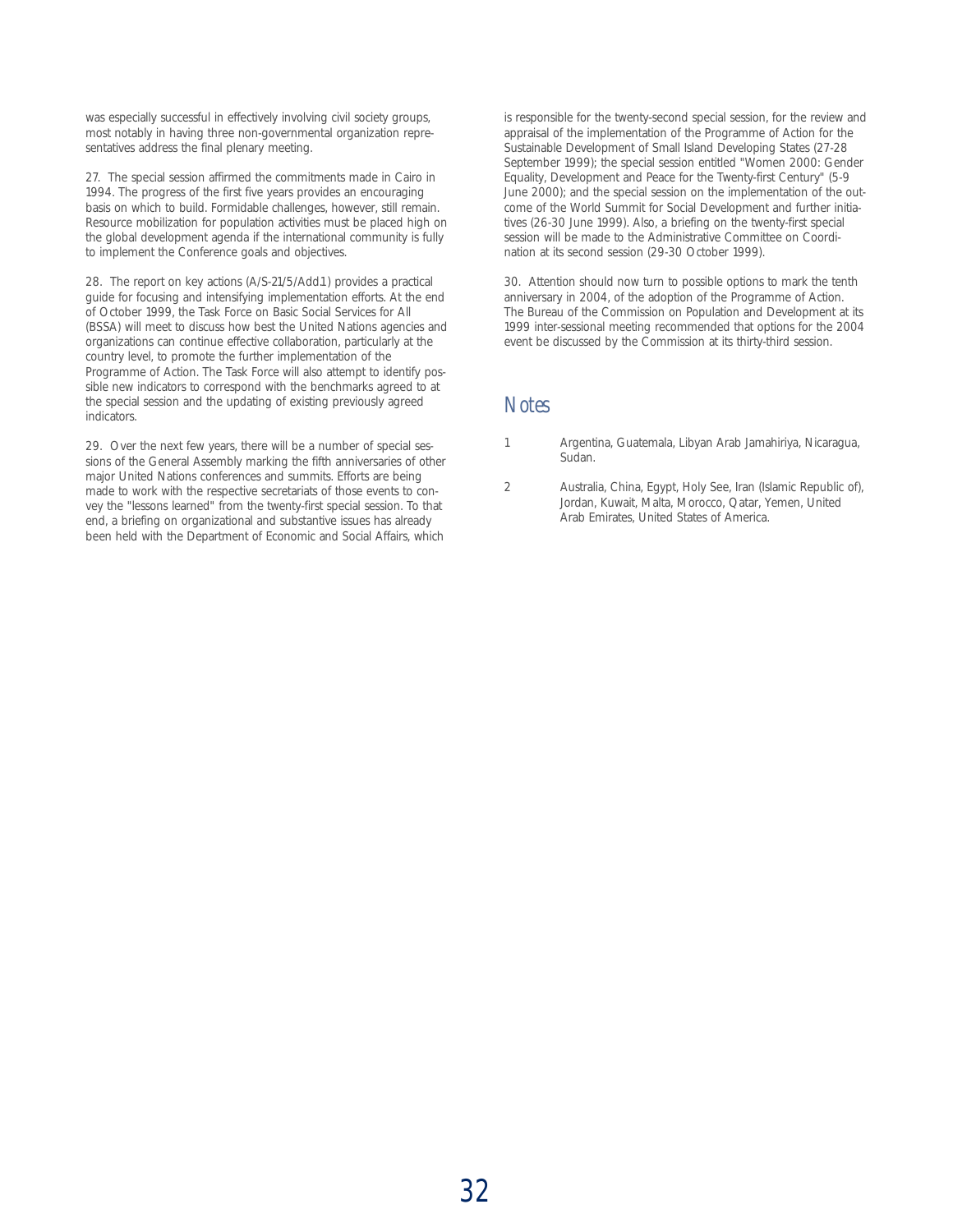was especially successful in effectively involving civil society groups, most notably in having three non-governmental organization representatives address the final plenary meeting.

27. The special session affirmed the commitments made in Cairo in 1994. The progress of the first five years provides an encouraging basis on which to build. Formidable challenges, however, still remain. Resource mobilization for population activities must be placed high on the global development agenda if the international community is fully to implement the Conference goals and objectives.

28. The report on key actions (A/S-21/5/Add.1) provides a practical guide for focusing and intensifying implementation efforts. At the end of October 1999, the Task Force on Basic Social Services for All (BSSA) will meet to discuss how best the United Nations agencies and organizations can continue effective collaboration, particularly at the country level, to promote the further implementation of the Programme of Action. The Task Force will also attempt to identify possible new indicators to correspond with the benchmarks agreed to at the special session and the updating of existing previously agreed indicators.

29. Over the next few years, there will be a number of special sessions of the General Assembly marking the fifth anniversaries of other major United Nations conferences and summits. Efforts are being made to work with the respective secretariats of those events to convey the "lessons learned" from the twenty-first special session. To that end, a briefing on organizational and substantive issues has already been held with the Department of Economic and Social Affairs, which

is responsible for the twenty-second special session, for the review and appraisal of the implementation of the Programme of Action for the Sustainable Development of Small Island Developing States (27-28 September 1999); the special session entitled "Women 2000: Gender Equality, Development and Peace for the Twenty-first Century" (5-9 June 2000); and the special session on the implementation of the outcome of the World Summit for Social Development and further initiatives (26-30 June 1999). Also, a briefing on the twenty-first special session will be made to the Administrative Committee on Coordination at its second session (29-30 October 1999).

30. Attention should now turn to possible options to mark the tenth anniversary in 2004, of the adoption of the Programme of Action. The Bureau of the Commission on Population and Development at its 1999 inter-sessional meeting recommended that options for the 2004 event be discussed by the Commission at its thirty-third session.

#### *Notes*

- 1 Argentina, Guatemala, Libyan Arab Jamahiriya, Nicaragua, Sudan.
- 2 Australia, China, Egypt, Holy See, Iran (Islamic Republic of), Jordan, Kuwait, Malta, Morocco, Qatar, Yemen, United Arab Emirates, United States of America.